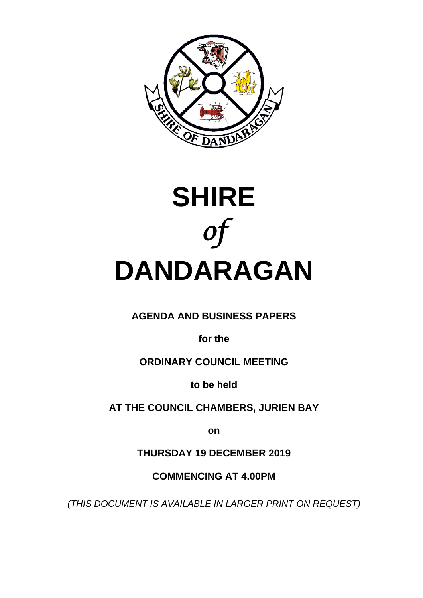



# **AGENDA AND BUSINESS PAPERS**

**for the**

# **ORDINARY COUNCIL MEETING**

**to be held**

**AT THE COUNCIL CHAMBERS, JURIEN BAY**

**on**

**THURSDAY 19 DECEMBER 2019**

**COMMENCING AT 4.00PM**

*(THIS DOCUMENT IS AVAILABLE IN LARGER PRINT ON REQUEST)*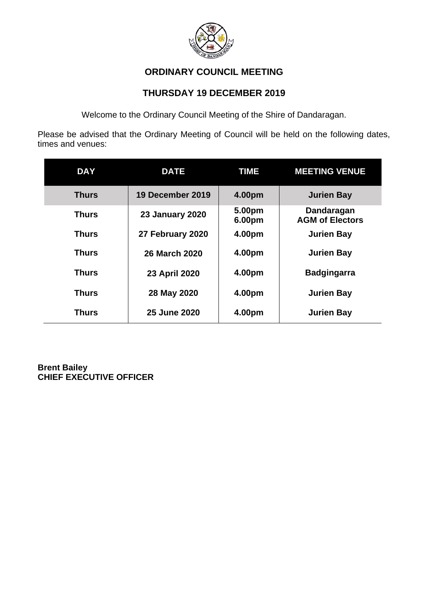

# **ORDINARY COUNCIL MEETING**

# **THURSDAY 19 DECEMBER 2019**

Welcome to the Ordinary Council Meeting of the Shire of Dandaragan.

Please be advised that the Ordinary Meeting of Council will be held on the following dates, times and venues:

| <b>DAY</b>   | <b>DATE</b>            | <b>TIME</b>      | <b>MEETING VENUE</b>                 |
|--------------|------------------------|------------------|--------------------------------------|
| <b>Thurs</b> | 19 December 2019       | 4.00pm           | <b>Jurien Bay</b>                    |
| <b>Thurs</b> | <b>23 January 2020</b> | 5.00pm<br>6.00pm | Dandaragan<br><b>AGM of Electors</b> |
| Thurs        | 27 February 2020       | 4.00pm           | <b>Jurien Bay</b>                    |
| <b>Thurs</b> | <b>26 March 2020</b>   | 4.00pm           | <b>Jurien Bay</b>                    |
| Thurs        | 23 April 2020          | 4.00pm           | <b>Badgingarra</b>                   |
| <b>Thurs</b> | 28 May 2020            | 4.00pm           | <b>Jurien Bay</b>                    |
| <b>Thurs</b> | 25 June 2020           | 4.00pm           | <b>Jurien Bay</b>                    |

**Brent Bailey CHIEF EXECUTIVE OFFICER**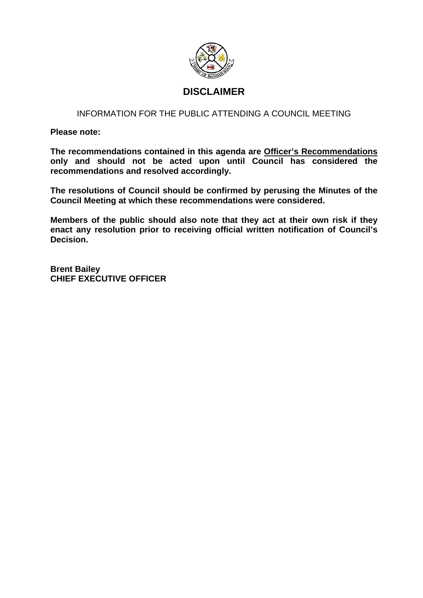

# **DISCLAIMER**

## INFORMATION FOR THE PUBLIC ATTENDING A COUNCIL MEETING

**Please note:**

**The recommendations contained in this agenda are Officer's Recommendations only and should not be acted upon until Council has considered the recommendations and resolved accordingly.**

**The resolutions of Council should be confirmed by perusing the Minutes of the Council Meeting at which these recommendations were considered.**

**Members of the public should also note that they act at their own risk if they enact any resolution prior to receiving official written notification of Council's Decision.**

**Brent Bailey CHIEF EXECUTIVE OFFICER**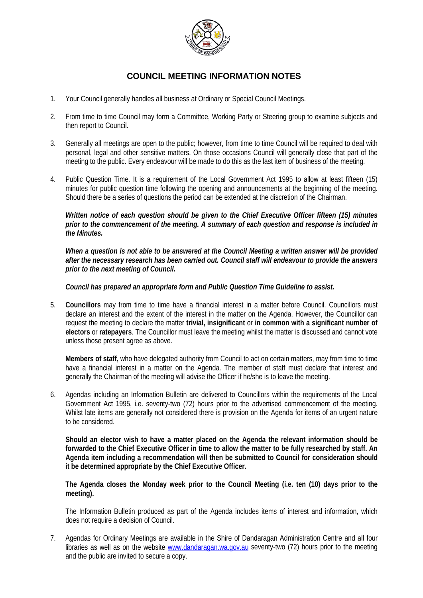

## **COUNCIL MEETING INFORMATION NOTES**

- 1. Your Council generally handles all business at Ordinary or Special Council Meetings.
- 2. From time to time Council may form a Committee, Working Party or Steering group to examine subjects and then report to Council.
- 3. Generally all meetings are open to the public; however, from time to time Council will be required to deal with personal, legal and other sensitive matters. On those occasions Council will generally close that part of the meeting to the public. Every endeavour will be made to do this as the last item of business of the meeting.
- 4. Public Question Time. It is a requirement of the Local Government Act 1995 to allow at least fifteen (15) minutes for public question time following the opening and announcements at the beginning of the meeting. Should there be a series of questions the period can be extended at the discretion of the Chairman.

*Written notice of each question should be given to the Chief Executive Officer fifteen (15) minutes prior to the commencement of the meeting. A summary of each question and response is included in the Minutes.*

*When a question is not able to be answered at the Council Meeting a written answer will be provided after the necessary research has been carried out. Council staff will endeavour to provide the answers prior to the next meeting of Council.*

*Council has prepared an appropriate form and Public Question Time Guideline to assist.*

5. **Councillors** may from time to time have a financial interest in a matter before Council. Councillors must declare an interest and the extent of the interest in the matter on the Agenda. However, the Councillor can request the meeting to declare the matter **trivial, insignificant** or **in common with a significant number of electors** or **ratepayers**. The Councillor must leave the meeting whilst the matter is discussed and cannot vote unless those present agree as above.

**Members of staff,** who have delegated authority from Council to act on certain matters, may from time to time have a financial interest in a matter on the Agenda. The member of staff must declare that interest and generally the Chairman of the meeting will advise the Officer if he/she is to leave the meeting.

6. Agendas including an Information Bulletin are delivered to Councillors within the requirements of the Local Government Act 1995, i.e. seventy-two (72) hours prior to the advertised commencement of the meeting. Whilst late items are generally not considered there is provision on the Agenda for items of an urgent nature to be considered.

**Should an elector wish to have a matter placed on the Agenda the relevant information should be forwarded to the Chief Executive Officer in time to allow the matter to be fully researched by staff. An Agenda item including a recommendation will then be submitted to Council for consideration should it be determined appropriate by the Chief Executive Officer.**

**The Agenda closes the Monday week prior to the Council Meeting (i.e. ten (10) days prior to the meeting).**

The Information Bulletin produced as part of the Agenda includes items of interest and information, which does not require a decision of Council.

7. Agendas for Ordinary Meetings are available in the Shire of Dandaragan Administration Centre and all four libraries as well as on the website [www.dandaragan.wa.gov.au](http://www.dandaragan.wa.gov.au/) seventy-two (72) hours prior to the meeting and the public are invited to secure a copy.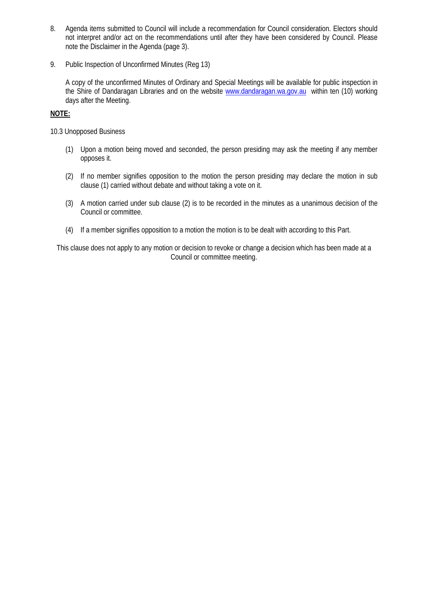- 8. Agenda items submitted to Council will include a recommendation for Council consideration. Electors should not interpret and/or act on the recommendations until after they have been considered by Council. Please note the Disclaimer in the Agenda (page 3).
- 9. Public Inspection of Unconfirmed Minutes (Reg 13)

A copy of the unconfirmed Minutes of Ordinary and Special Meetings will be available for public inspection in the Shire of Dandaragan Libraries and on the website [www.dandaragan.wa.gov.au](http://www.dandaragan.wa.gov.au/) within ten (10) working days after the Meeting.

#### **NOTE:**

10.3 Unopposed Business

- (1) Upon a motion being moved and seconded, the person presiding may ask the meeting if any member opposes it.
- (2) If no member signifies opposition to the motion the person presiding may declare the motion in sub clause (1) carried without debate and without taking a vote on it.
- (3) A motion carried under sub clause (2) is to be recorded in the minutes as a unanimous decision of the Council or committee.
- (4) If a member signifies opposition to a motion the motion is to be dealt with according to this Part.

This clause does not apply to any motion or decision to revoke or change a decision which has been made at a Council or committee meeting.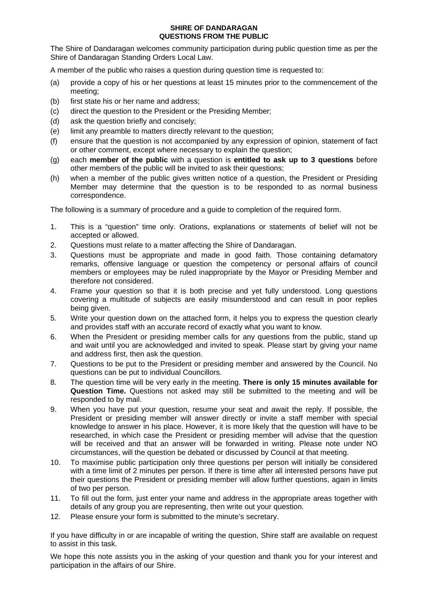#### **SHIRE OF DANDARAGAN QUESTIONS FROM THE PUBLIC**

The Shire of Dandaragan welcomes community participation during public question time as per the Shire of Dandaragan Standing Orders Local Law.

A member of the public who raises a question during question time is requested to:

- (a) provide a copy of his or her questions at least 15 minutes prior to the commencement of the meeting;
- (b) first state his or her name and address;
- (c) direct the question to the President or the Presiding Member;
- (d) ask the question briefly and concisely;
- (e) limit any preamble to matters directly relevant to the question;
- (f) ensure that the question is not accompanied by any expression of opinion, statement of fact or other comment, except where necessary to explain the question;
- (g) each **member of the public** with a question is **entitled to ask up to 3 questions** before other members of the public will be invited to ask their questions;
- (h) when a member of the public gives written notice of a question, the President or Presiding Member may determine that the question is to be responded to as normal business correspondence.

The following is a summary of procedure and a guide to completion of the required form.

- 1. This is a "question" time only. Orations, explanations or statements of belief will not be accepted or allowed.
- 2. Questions must relate to a matter affecting the Shire of Dandaragan.
- 3. Questions must be appropriate and made in good faith. Those containing defamatory remarks, offensive language or question the competency or personal affairs of council members or employees may be ruled inappropriate by the Mayor or Presiding Member and therefore not considered.
- 4. Frame your question so that it is both precise and yet fully understood. Long questions covering a multitude of subjects are easily misunderstood and can result in poor replies being given.
- 5. Write your question down on the attached form, it helps you to express the question clearly and provides staff with an accurate record of exactly what you want to know.
- 6. When the President or presiding member calls for any questions from the public, stand up and wait until you are acknowledged and invited to speak. Please start by giving your name and address first, then ask the question.
- 7. Questions to be put to the President or presiding member and answered by the Council. No questions can be put to individual Councillors.
- 8. The question time will be very early in the meeting. **There is only 15 minutes available for Question Time.** Questions not asked may still be submitted to the meeting and will be responded to by mail.
- 9. When you have put your question, resume your seat and await the reply. If possible, the President or presiding member will answer directly or invite a staff member with special knowledge to answer in his place. However, it is more likely that the question will have to be researched, in which case the President or presiding member will advise that the question will be received and that an answer will be forwarded in writing. Please note under NO circumstances, will the question be debated or discussed by Council at that meeting.
- 10. To maximise public participation only three questions per person will initially be considered with a time limit of 2 minutes per person. If there is time after all interested persons have put their questions the President or presiding member will allow further questions, again in limits of two per person.
- 11. To fill out the form, just enter your name and address in the appropriate areas together with details of any group you are representing, then write out your question.
- 12. Please ensure your form is submitted to the minute's secretary.

If you have difficulty in or are incapable of writing the question, Shire staff are available on request to assist in this task.

We hope this note assists you in the asking of your question and thank you for your interest and participation in the affairs of our Shire.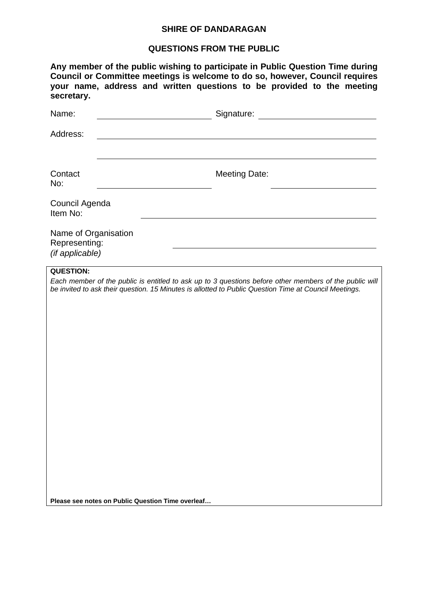## **SHIRE OF DANDARAGAN**

# **QUESTIONS FROM THE PUBLIC**

| Council Agenda<br>Name of Organisation<br>Representing:<br>(if applicable) | <b>Meeting Date:</b> | Any member of the public wishing to participate in Public Question Time during<br>Council or Committee meetings is welcome to do so, however, Council requires<br>your name, address and written questions to be provided to the meeting<br>Each member of the public is entitled to ask up to 3 questions before other members of the public will<br>be invited to ask their question. 15 Minutes is allotted to Public Question Time at Council Meetings. |
|----------------------------------------------------------------------------|----------------------|-------------------------------------------------------------------------------------------------------------------------------------------------------------------------------------------------------------------------------------------------------------------------------------------------------------------------------------------------------------------------------------------------------------------------------------------------------------|

**Please see notes on Public Question Time overleaf…**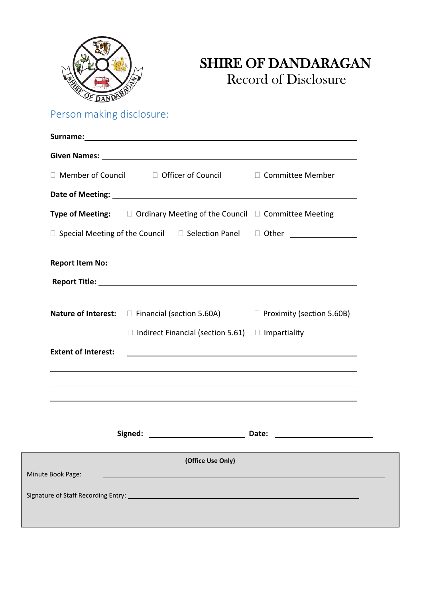

# SHIRE OF DANDARAGAN Record of Disclosure

Person making disclosure:

|                                    | $\Box$ Member of Council $\Box$ Officer of Council $\Box$ Committee Member                    |  |
|------------------------------------|-----------------------------------------------------------------------------------------------|--|
|                                    |                                                                                               |  |
|                                    | <b>Type of Meeting:</b> $\square$ Ordinary Meeting of the Council $\square$ Committee Meeting |  |
|                                    | □ Special Meeting of the Council □ Selection Panel □ Other ____________________               |  |
| Report Item No: __________________ |                                                                                               |  |
|                                    |                                                                                               |  |
|                                    | <b>Nature of Interest:</b> □ Financial (section 5.60A) □ Proximity (section 5.60B)            |  |
|                                    | $\Box$ Indirect Financial (section 5.61) $\Box$ Impartiality                                  |  |
| <b>Extent of Interest:</b>         | <u> 1989 - Johann Barn, mars et al. (b. 1989)</u>                                             |  |
|                                    |                                                                                               |  |
|                                    | ,我们也不会有什么。""我们的人,我们也不会有什么?""我们的人,我们也不会有什么?""我们的人,我们也不会有什么?""我们的人,我们也不会有什么?""我们的人              |  |
|                                    |                                                                                               |  |
|                                    | (Office Use Only)                                                                             |  |
| Minute Book Page:                  |                                                                                               |  |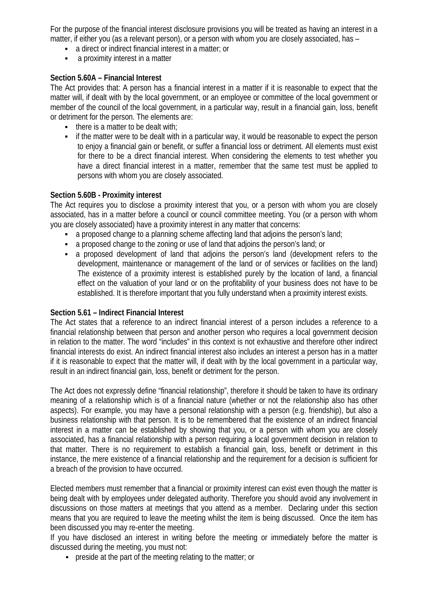For the purpose of the financial interest disclosure provisions you will be treated as having an interest in a matter, if either you (as a relevant person), or a person with whom you are closely associated, has –

- a direct or indirect financial interest in a matter; or
- a proximity interest in a matter

## **Section 5.60A – Financial Interest**

The Act provides that: A person has a financial interest in a matter if it is reasonable to expect that the matter will, if dealt with by the local government, or an employee or committee of the local government or member of the council of the local government, in a particular way, result in a financial gain, loss, benefit or detriment for the person. The elements are:

- $\blacksquare$  there is a matter to be dealt with;
- if the matter were to be dealt with in a particular way, it would be reasonable to expect the person to enjoy a financial gain or benefit, or suffer a financial loss or detriment. All elements must exist for there to be a direct financial interest. When considering the elements to test whether you have a direct financial interest in a matter, remember that the same test must be applied to persons with whom you are closely associated.

## **Section 5.60B - Proximity interest**

The Act requires you to disclose a proximity interest that you, or a person with whom you are closely associated, has in a matter before a council or council committee meeting. You (or a person with whom you are closely associated) have a proximity interest in any matter that concerns:

- a proposed change to a planning scheme affecting land that adjoins the person's land;
- a proposed change to the zoning or use of land that adjoins the person's land; or
- a proposed development of land that adjoins the person's land (development refers to the development, maintenance or management of the land or of services or facilities on the land) The existence of a proximity interest is established purely by the location of land, a financial effect on the valuation of your land or on the profitability of your business does not have to be established. It is therefore important that you fully understand when a proximity interest exists.

## **Section 5.61 – Indirect Financial Interest**

The Act states that a reference to an indirect financial interest of a person includes a reference to a financial relationship between that person and another person who requires a local government decision in relation to the matter. The word "includes" in this context is not exhaustive and therefore other indirect financial interests do exist. An indirect financial interest also includes an interest a person has in a matter if it is reasonable to expect that the matter will, if dealt with by the local government in a particular way, result in an indirect financial gain, loss, benefit or detriment for the person.

The Act does not expressly define "financial relationship", therefore it should be taken to have its ordinary meaning of a relationship which is of a financial nature (whether or not the relationship also has other aspects). For example, you may have a personal relationship with a person (e.g. friendship), but also a business relationship with that person. It is to be remembered that the existence of an indirect financial interest in a matter can be established by showing that you, or a person with whom you are closely associated, has a financial relationship with a person requiring a local government decision in relation to that matter. There is no requirement to establish a financial gain, loss, benefit or detriment in this instance, the mere existence of a financial relationship and the requirement for a decision is sufficient for a breach of the provision to have occurred.

Elected members must remember that a financial or proximity interest can exist even though the matter is being dealt with by employees under delegated authority. Therefore you should avoid any involvement in discussions on those matters at meetings that you attend as a member. Declaring under this section means that you are required to leave the meeting whilst the item is being discussed. Once the item has been discussed you may re-enter the meeting.

If you have disclosed an interest in writing before the meeting or immediately before the matter is discussed during the meeting, you must not:

**•** preside at the part of the meeting relating to the matter; or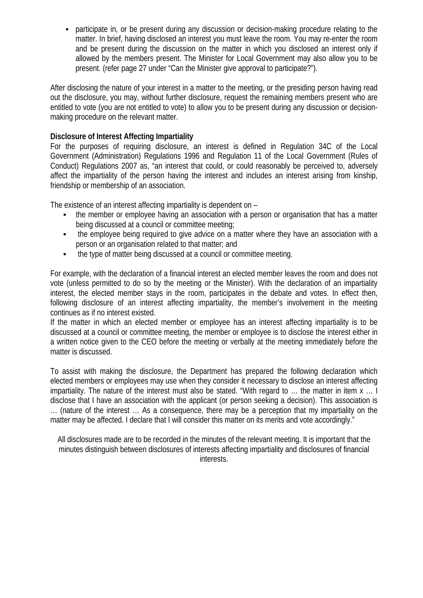participate in, or be present during any discussion or decision-making procedure relating to the matter. In brief, having disclosed an interest you must leave the room. You may re-enter the room and be present during the discussion on the matter in which you disclosed an interest only if allowed by the members present. The Minister for Local Government may also allow you to be present. (refer page 27 under "Can the Minister give approval to participate?").

After disclosing the nature of your interest in a matter to the meeting, or the presiding person having read out the disclosure, you may, without further disclosure, request the remaining members present who are entitled to vote (you are not entitled to vote) to allow you to be present during any discussion or decisionmaking procedure on the relevant matter.

## **Disclosure of Interest Affecting Impartiality**

For the purposes of requiring disclosure, an interest is defined in Regulation 34C of the Local Government (Administration) Regulations 1996 and Regulation 11 of the Local Government (Rules of Conduct) Regulations 2007 as, "an interest that could, or could reasonably be perceived to, adversely affect the impartiality of the person having the interest and includes an interest arising from kinship, friendship or membership of an association.

The existence of an interest affecting impartiality is dependent on –

- the member or employee having an association with a person or organisation that has a matter being discussed at a council or committee meeting;
- the employee being required to give advice on a matter where they have an association with a person or an organisation related to that matter; and
- the type of matter being discussed at a council or committee meeting.

For example, with the declaration of a financial interest an elected member leaves the room and does not vote (unless permitted to do so by the meeting or the Minister). With the declaration of an impartiality interest, the elected member stays in the room, participates in the debate and votes. In effect then, following disclosure of an interest affecting impartiality, the member's involvement in the meeting continues as if no interest existed.

If the matter in which an elected member or employee has an interest affecting impartiality is to be discussed at a council or committee meeting, the member or employee is to disclose the interest either in a written notice given to the CEO before the meeting or verbally at the meeting immediately before the matter is discussed.

To assist with making the disclosure, the Department has prepared the following declaration which elected members or employees may use when they consider it necessary to disclose an interest affecting impartiality. The nature of the interest must also be stated. "With regard to … the matter in item x … I disclose that I have an association with the applicant (or person seeking a decision). This association is … (nature of the interest … As a consequence, there may be a perception that my impartiality on the matter may be affected. I declare that I will consider this matter on its merits and vote accordingly."

All disclosures made are to be recorded in the minutes of the relevant meeting. It is important that the minutes distinguish between disclosures of interests affecting impartiality and disclosures of financial interests.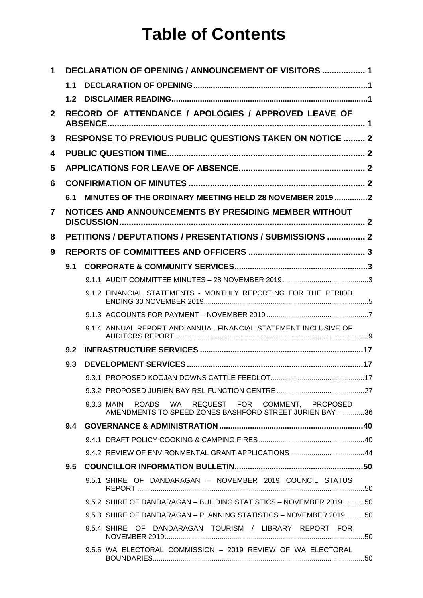# **Table of Contents**

| 1              |                  | <b>DECLARATION OF OPENING / ANNOUNCEMENT OF VISITORS  1</b>                                                  |  |
|----------------|------------------|--------------------------------------------------------------------------------------------------------------|--|
|                | 1.1              |                                                                                                              |  |
|                | 1.2 <sub>1</sub> |                                                                                                              |  |
| $\mathbf{2}$   |                  | RECORD OF ATTENDANCE / APOLOGIES / APPROVED LEAVE OF                                                         |  |
| 3              |                  | <b>RESPONSE TO PREVIOUS PUBLIC QUESTIONS TAKEN ON NOTICE  2</b>                                              |  |
| 4              |                  |                                                                                                              |  |
| 5              |                  |                                                                                                              |  |
| 6              |                  |                                                                                                              |  |
|                | 6.1              | MINUTES OF THE ORDINARY MEETING HELD 28 NOVEMBER 2019 2                                                      |  |
| $\overline{7}$ |                  | NOTICES AND ANNOUNCEMENTS BY PRESIDING MEMBER WITHOUT                                                        |  |
| 8              |                  | PETITIONS / DEPUTATIONS / PRESENTATIONS / SUBMISSIONS  2                                                     |  |
| 9              |                  |                                                                                                              |  |
|                | 9.1              |                                                                                                              |  |
|                |                  |                                                                                                              |  |
|                |                  | 9.1.2 FINANCIAL STATEMENTS - MONTHLY REPORTING FOR THE PERIOD                                                |  |
|                |                  |                                                                                                              |  |
|                |                  | 9.1.4 ANNUAL REPORT AND ANNUAL FINANCIAL STATEMENT INCLUSIVE OF                                              |  |
|                | 9.2              |                                                                                                              |  |
|                | 9.3              |                                                                                                              |  |
|                |                  |                                                                                                              |  |
|                |                  |                                                                                                              |  |
|                |                  | 9.3.3 MAIN ROADS WA REQUEST FOR COMMENT, PROPOSED<br>AMENDMENTS TO SPEED ZONES BASHFORD STREET JURIEN BAY 36 |  |
|                | 9.4              |                                                                                                              |  |
|                |                  |                                                                                                              |  |
|                |                  |                                                                                                              |  |
|                | $9.5^{\circ}$    |                                                                                                              |  |
|                |                  | 9.5.1 SHIRE OF DANDARAGAN - NOVEMBER 2019 COUNCIL STATUS                                                     |  |
|                |                  | 9.5.2 SHIRE OF DANDARAGAN - BUILDING STATISTICS - NOVEMBER 201950                                            |  |
|                |                  | 9.5.3 SHIRE OF DANDARAGAN - PLANNING STATISTICS - NOVEMBER 201950                                            |  |
|                |                  | 9.5.4 SHIRE OF DANDARAGAN TOURISM / LIBRARY REPORT FOR                                                       |  |
|                |                  | 9.5.5 WA ELECTORAL COMMISSION - 2019 REVIEW OF WA ELECTORAL                                                  |  |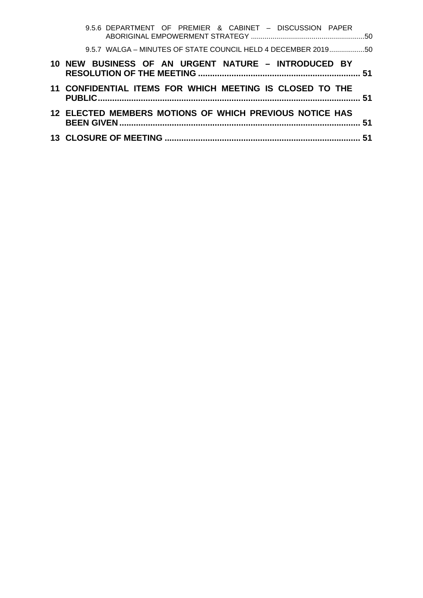| 9.5.6 DEPARTMENT OF PREMIER & CABINET - DISCUSSION PAPER      |  |
|---------------------------------------------------------------|--|
| 9.5.7 WALGA - MINUTES OF STATE COUNCIL HELD 4 DECEMBER 201950 |  |
| 10 NEW BUSINESS OF AN URGENT NATURE – INTRODUCED BY           |  |
| 11 CONFIDENTIAL ITEMS FOR WHICH MEETING IS CLOSED TO THE      |  |
| 12 ELECTED MEMBERS MOTIONS OF WHICH PREVIOUS NOTICE HAS       |  |
|                                                               |  |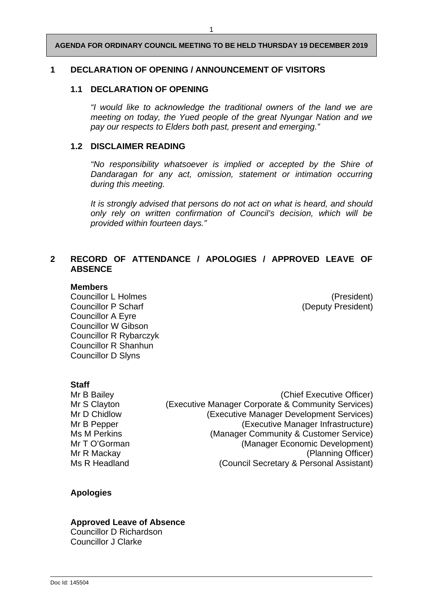## <span id="page-12-1"></span><span id="page-12-0"></span>**1 DECLARATION OF OPENING / ANNOUNCEMENT OF VISITORS**

## **1.1 DECLARATION OF OPENING**

*"I would like to acknowledge the traditional owners of the land we are meeting on today, the Yued people of the great Nyungar Nation and we pay our respects to Elders both past, present and emerging."*

## <span id="page-12-2"></span>**1.2 DISCLAIMER READING**

*"No responsibility whatsoever is implied or accepted by the Shire of Dandaragan for any act, omission, statement or intimation occurring during this meeting.*

*It is strongly advised that persons do not act on what is heard, and should only rely on written confirmation of Council's decision, which will be provided within fourteen days."*

## <span id="page-12-3"></span>**2 RECORD OF ATTENDANCE / APOLOGIES / APPROVED LEAVE OF ABSENCE**

#### **Members**

Councillor L Holmes (President) Councillor P Scharf (Deputy President) Councillor A Eyre Councillor W Gibson Councillor R Rybarczyk Councillor R Shanhun Councillor D Slyns

## **Staff**

Mr B Bailey **Mr B Bailey** (Chief Executive Officer) Mr S Clayton **(Executive Manager Corporate & Community Services)** Mr D Chidlow (Executive Manager Development Services) Mr B Pepper (Executive Manager Infrastructure) Ms M Perkins (Manager Community & Customer Service) Mr T O'Gorman (Manager Economic Development)<br>Mr R Mackav (Planning Officer) (Planning Officer) Ms R Headland (Council Secretary & Personal Assistant)

## **Apologies**

#### **Approved Leave of Absence**

Councillor D Richardson Councillor J Clarke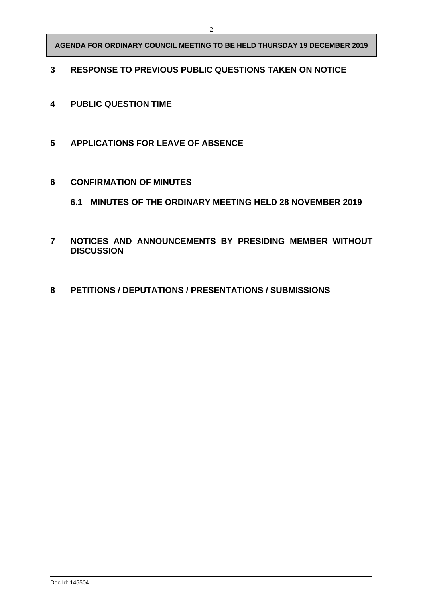## <span id="page-13-0"></span>**RESPONSE TO PREVIOUS PUBLIC QUESTIONS TAKEN ON NOTICE**

- <span id="page-13-1"></span>**PUBLIC QUESTION TIME**
- <span id="page-13-2"></span>**APPLICATIONS FOR LEAVE OF ABSENCE**
- <span id="page-13-4"></span><span id="page-13-3"></span> **CONFIRMATION OF MINUTES**
	- **6.1 MINUTES OF THE ORDINARY MEETING HELD 28 NOVEMBER 2019**
- <span id="page-13-5"></span> **NOTICES AND ANNOUNCEMENTS BY PRESIDING MEMBER WITHOUT DISCUSSION**
- <span id="page-13-6"></span>**PETITIONS / DEPUTATIONS / PRESENTATIONS / SUBMISSIONS**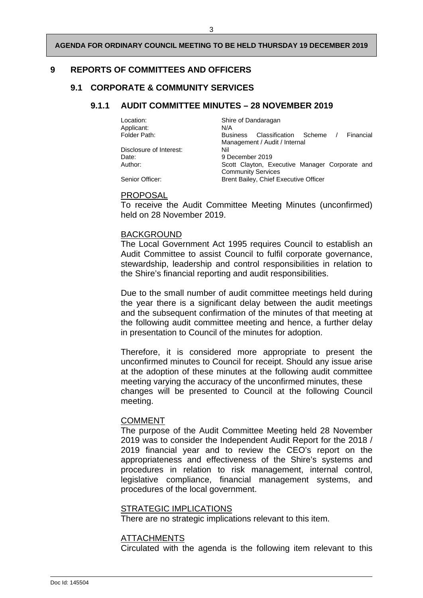## <span id="page-14-1"></span><span id="page-14-0"></span>**9 REPORTS OF COMMITTEES AND OFFICERS**

## <span id="page-14-2"></span>**9.1 CORPORATE & COMMUNITY SERVICES**

## **9.1.1 AUDIT COMMITTEE MINUTES – 28 NOVEMBER 2019**

| Location:<br>Applicant: | Shire of Dandaragan<br>N/A                            |
|-------------------------|-------------------------------------------------------|
| Folder Path:            | Classification Scheme<br>Financial<br><b>Business</b> |
|                         | Management / Audit / Internal                         |
| Disclosure of Interest: | Nil                                                   |
| Date:                   | 9 December 2019                                       |
| Author:                 | Scott Clayton, Executive Manager Corporate and        |
|                         | <b>Community Services</b>                             |
| Senior Officer:         | Brent Bailey, Chief Executive Officer                 |

#### PROPOSAL

To receive the Audit Committee Meeting Minutes (unconfirmed) held on 28 November 2019.

## BACKGROUND

The Local Government Act 1995 requires Council to establish an Audit Committee to assist Council to fulfil corporate governance, stewardship, leadership and control responsibilities in relation to the Shire's financial reporting and audit responsibilities.

Due to the small number of audit committee meetings held during the year there is a significant delay between the audit meetings and the subsequent confirmation of the minutes of that meeting at the following audit committee meeting and hence, a further delay in presentation to Council of the minutes for adoption.

Therefore, it is considered more appropriate to present the unconfirmed minutes to Council for receipt. Should any issue arise at the adoption of these minutes at the following audit committee meeting varying the accuracy of the unconfirmed minutes, these changes will be presented to Council at the following Council meeting.

## COMMENT

The purpose of the Audit Committee Meeting held 28 November 2019 was to consider the Independent Audit Report for the 2018 / 2019 financial year and to review the CEO's report on the appropriateness and effectiveness of the Shire's systems and procedures in relation to risk management, internal control, legislative compliance, financial management systems, and procedures of the local government.

## STRATEGIC IMPLICATIONS

There are no strategic implications relevant to this item.

## ATTACHMENTS

Circulated with the agenda is the following item relevant to this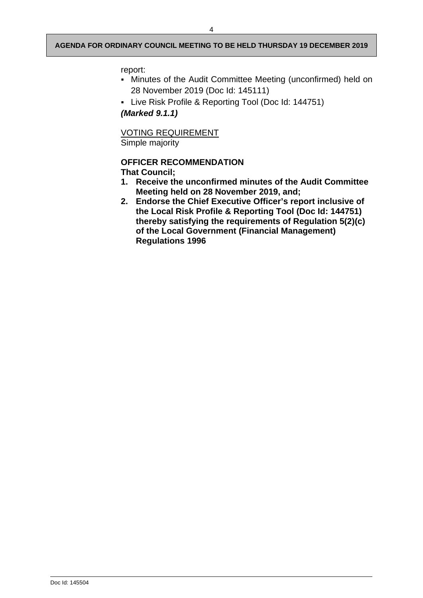#### report:

- Minutes of the Audit Committee Meeting (unconfirmed) held on 28 November 2019 (Doc Id: 145111)
- Live Risk Profile & Reporting Tool (Doc Id: 144751)

*(Marked 9.1.1)*

VOTING REQUIREMENT Simple majority

## **OFFICER RECOMMENDATION That Council;**

- **1. Receive the unconfirmed minutes of the Audit Committee Meeting held on 28 November 2019, and;**
- **2. Endorse the Chief Executive Officer's report inclusive of the Local Risk Profile & Reporting Tool (Doc Id: 144751) thereby satisfying the requirements of Regulation 5(2)(c) of the Local Government (Financial Management) Regulations 1996**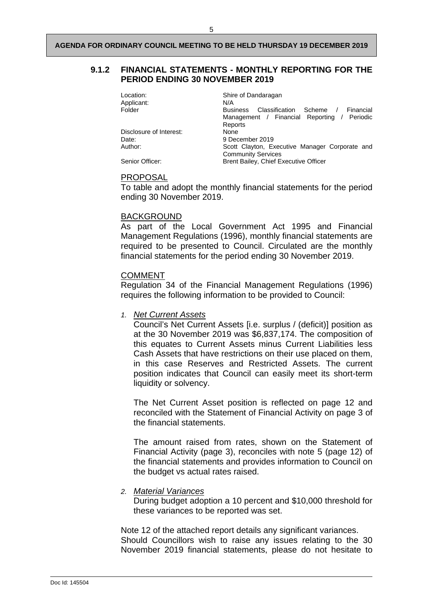## <span id="page-16-0"></span>**9.1.2 FINANCIAL STATEMENTS - MONTHLY REPORTING FOR THE PERIOD ENDING 30 NOVEMBER 2019**

| Location:               | Shire of Dandaragan                                   |
|-------------------------|-------------------------------------------------------|
| Applicant:              | N/A                                                   |
| Folder                  | Classification Scheme<br>Financial<br><b>Business</b> |
|                         | Management / Financial Reporting / Periodic           |
|                         | Reports                                               |
| Disclosure of Interest: | None                                                  |
| Date:                   | 9 December 2019                                       |
| Author:                 | Scott Clayton, Executive Manager Corporate and        |
|                         | <b>Community Services</b>                             |
| Senior Officer:         | <b>Brent Bailey, Chief Executive Officer</b>          |

#### PROPOSAL

To table and adopt the monthly financial statements for the period ending 30 November 2019.

#### BACKGROUND

As part of the Local Government Act 1995 and Financial Management Regulations (1996), monthly financial statements are required to be presented to Council. Circulated are the monthly financial statements for the period ending 30 November 2019.

#### COMMENT

Regulation 34 of the Financial Management Regulations (1996) requires the following information to be provided to Council:

*1. Net Current Assets*

Council's Net Current Assets [i.e. surplus / (deficit)] position as at the 30 November 2019 was \$6,837,174. The composition of this equates to Current Assets minus Current Liabilities less Cash Assets that have restrictions on their use placed on them, in this case Reserves and Restricted Assets. The current position indicates that Council can easily meet its short-term liquidity or solvency.

The Net Current Asset position is reflected on page 12 and reconciled with the Statement of Financial Activity on page 3 of the financial statements.

The amount raised from rates, shown on the Statement of Financial Activity (page 3), reconciles with note 5 (page 12) of the financial statements and provides information to Council on the budget vs actual rates raised.

#### *2. Material Variances*

During budget adoption a 10 percent and \$10,000 threshold for these variances to be reported was set.

Note 12 of the attached report details any significant variances. Should Councillors wish to raise any issues relating to the 30 November 2019 financial statements, please do not hesitate to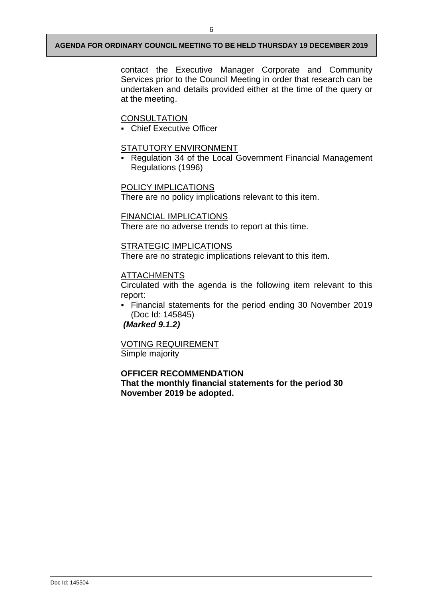contact the Executive Manager Corporate and Community Services prior to the Council Meeting in order that research can be undertaken and details provided either at the time of the query or at the meeting.

## **CONSULTATION**

Chief Executive Officer

#### STATUTORY ENVIRONMENT

 Regulation 34 of the Local Government Financial Management Regulations (1996)

## POLICY IMPLICATIONS

There are no policy implications relevant to this item.

## FINANCIAL IMPLICATIONS

There are no adverse trends to report at this time.

## STRATEGIC IMPLICATIONS

There are no strategic implications relevant to this item.

## ATTACHMENTS

Circulated with the agenda is the following item relevant to this report:

 Financial statements for the period ending 30 November 2019 (Doc Id: 145845)

*(Marked 9.1.2)*

VOTING REQUIREMENT Simple majority

## **OFFICER RECOMMENDATION**

**That the monthly financial statements for the period 30 November 2019 be adopted.**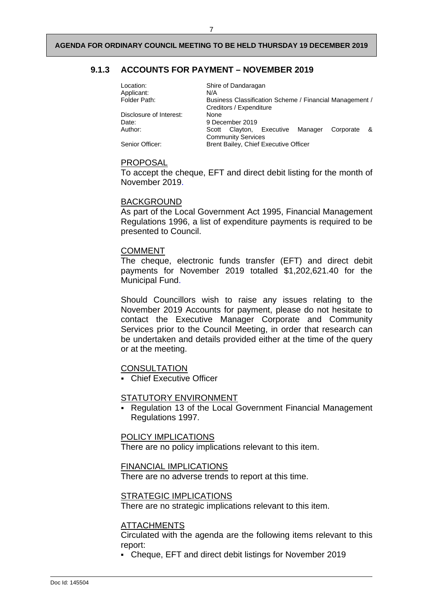## <span id="page-18-0"></span>**9.1.3 ACCOUNTS FOR PAYMENT – NOVEMBER 2019**

| Location:<br>Applicant: | N/A  | Shire of Dandaragan       |                                       |                                                         |     |
|-------------------------|------|---------------------------|---------------------------------------|---------------------------------------------------------|-----|
| Folder Path:            |      | Creditors / Expenditure   |                                       | Business Classification Scheme / Financial Management / |     |
| Disclosure of Interest: | None |                           |                                       |                                                         |     |
| Date:                   |      | 9 December 2019           |                                       |                                                         |     |
| Author:                 |      |                           | Scott Clayton, Executive Manager      | Corporate                                               | ୍ୟୁ |
|                         |      | <b>Community Services</b> |                                       |                                                         |     |
| Senior Officer:         |      |                           | Brent Bailey, Chief Executive Officer |                                                         |     |

#### PROPOSAL

To accept the cheque, EFT and direct debit listing for the month of November 2019.

## BACKGROUND

As part of the Local Government Act 1995, Financial Management Regulations 1996, a list of expenditure payments is required to be presented to Council.

#### **COMMENT**

The cheque, electronic funds transfer (EFT) and direct debit payments for November 2019 totalled \$1,202,621.40 for the Municipal Fund.

Should Councillors wish to raise any issues relating to the November 2019 Accounts for payment, please do not hesitate to contact the Executive Manager Corporate and Community Services prior to the Council Meeting, in order that research can be undertaken and details provided either at the time of the query or at the meeting.

#### **CONSULTATION**

**Chief Executive Officer** 

#### STATUTORY ENVIRONMENT

 Regulation 13 of the Local Government Financial Management Regulations 1997.

#### POLICY IMPLICATIONS

There are no policy implications relevant to this item.

#### FINANCIAL IMPLICATIONS

There are no adverse trends to report at this time.

## STRATEGIC IMPLICATIONS

There are no strategic implications relevant to this item.

#### ATTACHMENTS

Circulated with the agenda are the following items relevant to this report:

Cheque, EFT and direct debit listings for November 2019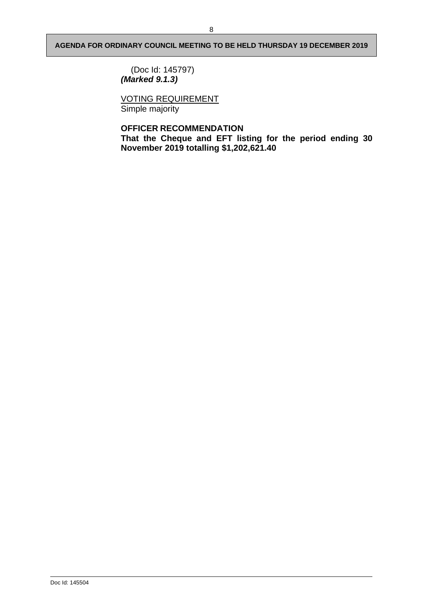(Doc Id: 145797) *(Marked 9.1.3)*

VOTING REQUIREMENT Simple majority

## **OFFICER RECOMMENDATION**

**That the Cheque and EFT listing for the period ending 30 November 2019 totalling \$1,202,621.40**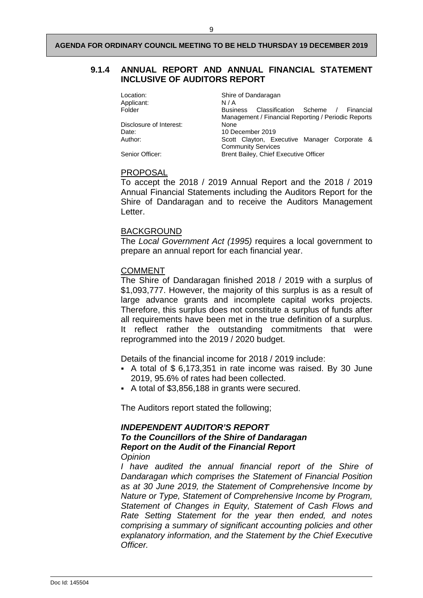## <span id="page-20-0"></span>**9.1.4 ANNUAL REPORT AND ANNUAL FINANCIAL STATEMENT INCLUSIVE OF AUDITORS REPORT**

| Location:<br>Applicant: | Shire of Dandaragan<br>N/A                                                                                     |
|-------------------------|----------------------------------------------------------------------------------------------------------------|
|                         |                                                                                                                |
| Folder                  | Classification Scheme /<br><b>Business</b><br>Financial<br>Management / Financial Reporting / Periodic Reports |
| Disclosure of Interest: | None                                                                                                           |
| Date:                   | 10 December 2019                                                                                               |
| Author:                 | Scott Clayton, Executive Manager Corporate &                                                                   |
|                         | <b>Community Services</b>                                                                                      |
| Senior Officer:         | Brent Bailey, Chief Executive Officer                                                                          |

#### PROPOSAL

To accept the 2018 / 2019 Annual Report and the 2018 / 2019 Annual Financial Statements including the Auditors Report for the Shire of Dandaragan and to receive the Auditors Management Letter.

## BACKGROUND

The *Local Government Act (1995)* requires a local government to prepare an annual report for each financial year.

## COMMENT

The Shire of Dandaragan finished 2018 / 2019 with a surplus of \$1,093,777. However, the majority of this surplus is as a result of large advance grants and incomplete capital works projects. Therefore, this surplus does not constitute a surplus of funds after all requirements have been met in the true definition of a surplus. It reflect rather the outstanding commitments that were reprogrammed into the 2019 / 2020 budget.

Details of the financial income for 2018 / 2019 include:

- A total of \$ 6,173,351 in rate income was raised. By 30 June 2019, 95.6% of rates had been collected.
- A total of \$3,856,188 in grants were secured.

The Auditors report stated the following;

## *INDEPENDENT AUDITOR'S REPORT To the Councillors of the Shire of Dandaragan Report on the Audit of the Financial Report Opinion*

*I have audited the annual financial report of the Shire of Dandaragan which comprises the Statement of Financial Position as at 30 June 2019, the Statement of Comprehensive Income by Nature or Type, Statement of Comprehensive Income by Program, Statement of Changes in Equity, Statement of Cash Flows and Rate Setting Statement for the year then ended, and notes comprising a summary of significant accounting policies and other explanatory information, and the Statement by the Chief Executive Officer.*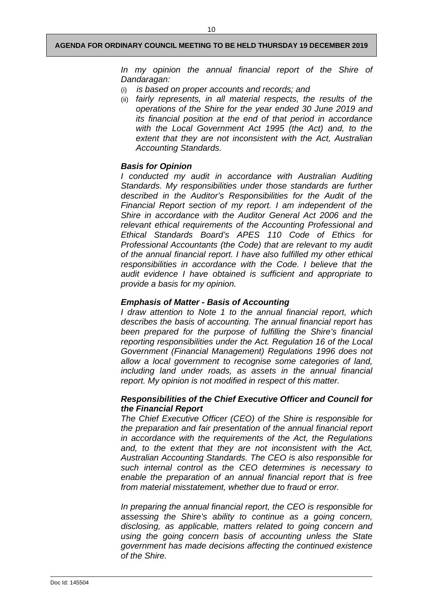*In my opinion the annual financial report of the Shire of Dandaragan:*

- (i) *is based on proper accounts and records; and*
- (ii) *fairly represents, in all material respects, the results of the operations of the Shire for the year ended 30 June 2019 and its financial position at the end of that period in accordance with the Local Government Act 1995 (the Act) and, to the extent that they are not inconsistent with the Act, Australian Accounting Standards.*

## *Basis for Opinion*

*I conducted my audit in accordance with Australian Auditing Standards. My responsibilities under those standards are further described in the Auditor's Responsibilities for the Audit of the Financial Report section of my report. I am independent of the Shire in accordance with the Auditor General Act 2006 and the relevant ethical requirements of the Accounting Professional and Ethical Standards Board's APES 110 Code of Ethics for Professional Accountants (the Code) that are relevant to my audit of the annual financial report. I have also fulfilled my other ethical responsibilities in accordance with the Code. I believe that the audit evidence I have obtained is sufficient and appropriate to provide a basis for my opinion.*

## *Emphasis of Matter - Basis of Accounting*

*I draw attention to Note 1 to the annual financial report, which describes the basis of accounting. The annual financial report has been prepared for the purpose of fulfilling the Shire's financial reporting responsibilities under the Act. Regulation 16 of the Local Government (Financial Management) Regulations 1996 does not allow a local government to recognise some categories of land, including land under roads, as assets in the annual financial report. My opinion is not modified in respect of this matter.*

## *Responsibilities of the Chief Executive Officer and Council for the Financial Report*

*The Chief Executive Officer (CEO) of the Shire is responsible for the preparation and fair presentation of the annual financial report in accordance with the requirements of the Act, the Regulations and, to the extent that they are not inconsistent with the Act, Australian Accounting Standards. The CEO is also responsible for such internal control as the CEO determines is necessary to enable the preparation of an annual financial report that is free from material misstatement, whether due to fraud or error.*

*In preparing the annual financial report, the CEO is responsible for assessing the Shire's ability to continue as a going concern, disclosing, as applicable, matters related to going concern and using the going concern basis of accounting unless the State government has made decisions affecting the continued existence of the Shire.*

Doc Id: 145504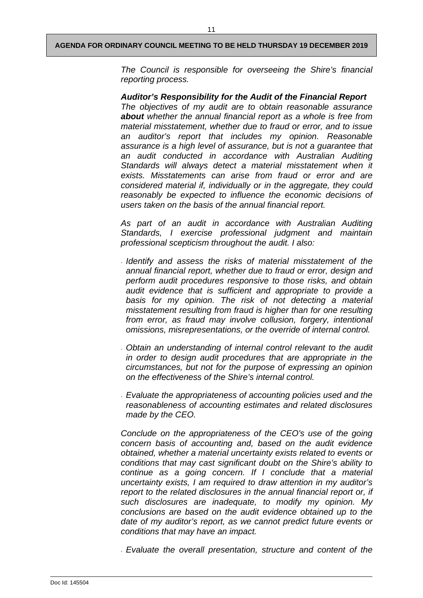*The Council is responsible for overseeing the Shire's financial reporting process.*

*Auditor's Responsibility for the Audit of the Financial Report The objectives of my audit are to obtain reasonable assurance about whether the annual financial report as a whole is free from material misstatement, whether due to fraud or error, and to issue an auditor's report that includes my opinion. Reasonable assurance is a high level of assurance, but is not a guarantee that an audit conducted in accordance with Australian Auditing Standards will always detect a material misstatement when it exists. Misstatements can arise from fraud or error and are considered material if, individually or in the aggregate, they could reasonably be expected to influence the economic decisions of users taken on the basis of the annual financial report.*

*As part of an audit in accordance with Australian Auditing Standards, I exercise professional judgment and maintain professional scepticism throughout the audit. I also:*

- *Identify and assess the risks of material misstatement of the annual financial report, whether due to fraud or error, design and perform audit procedures responsive to those risks, and obtain audit evidence that is sufficient and appropriate to provide a basis for my opinion. The risk of not detecting a material misstatement resulting from fraud is higher than for one resulting from error, as fraud may involve collusion, forgery, intentional omissions, misrepresentations, or the override of internal control.*
- *Obtain an understanding of internal control relevant to the audit in order to design audit procedures that are appropriate in the circumstances, but not for the purpose of expressing an opinion on the effectiveness of the Shire's internal control.*
- *Evaluate the appropriateness of accounting policies used and the reasonableness of accounting estimates and related disclosures made by the CEO.*

*Conclude on the appropriateness of the CEO's use of the going concern basis of accounting and, based on the audit evidence obtained, whether a material uncertainty exists related to events or conditions that may cast significant doubt on the Shire's ability to continue as a going concern. If I conclude that a material uncertainty exists, I am required to draw attention in my auditor's*  report to the related disclosures in the annual financial report or, if *such disclosures are inadequate, to modify my opinion. My conclusions are based on the audit evidence obtained up to the date of my auditor's report, as we cannot predict future events or conditions that may have an impact.*

- *Evaluate the overall presentation, structure and content of the*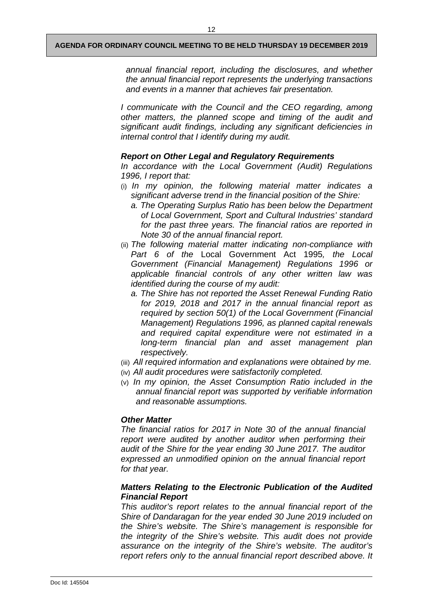12

*annual financial report, including the disclosures, and whether the annual financial report represents the underlying transactions and events in a manner that achieves fair presentation.*

*I communicate with the Council and the CEO regarding, among other matters, the planned scope and timing of the audit and significant audit findings, including any significant deficiencies in internal control that I identify during my audit.*

## *Report on Other Legal and Regulatory Requirements*

*In accordance with the Local Government (Audit) Regulations 1996, I report that:*

- (i) *In my opinion, the following material matter indicates a significant adverse trend in the financial position of the Shire:*
	- *a. The Operating Surplus Ratio has been below the Department of Local Government, Sport and Cultural Industries' standard for the past three years. The financial ratios are reported in Note 30 of the annual financial report.*
- (ii) *The following material matter indicating non-compliance with Part 6 of the* Local Government Act 1995*, the Local Government (Financial Management) Regulations 1996 or applicable financial controls of any other written law was identified during the course of my audit:*
	- *a. The Shire has not reported the Asset Renewal Funding Ratio for 2019, 2018 and 2017 in the annual financial report as required by section 50(1) of the Local Government (Financial Management) Regulations 1996, as planned capital renewals and required capital expenditure were not estimated in a long-term financial plan and asset management plan respectively.*
- (iii) *All required information and explanations were obtained by me.*
- (iv) *All audit procedures were satisfactorily completed.*
- (v) *In my opinion, the Asset Consumption Ratio included in the annual financial report was supported by verifiable information and reasonable assumptions.*

## *Other Matter*

*The financial ratios for 2017 in Note 30 of the annual financial report were audited by another auditor when performing their audit of the Shire for the year ending 30 June 2017. The auditor expressed an unmodified opinion on the annual financial report for that year.*

## *Matters Relating to the Electronic Publication of the Audited Financial Report*

*This auditor's report relates to the annual financial report of the Shire of Dandaragan for the year ended 30 June 2019 included on the Shire's website. The Shire's management is responsible for the integrity of the Shire's website. This audit does not provide assurance on the integrity of the Shire's website. The auditor's report refers only to the annual financial report described above. It*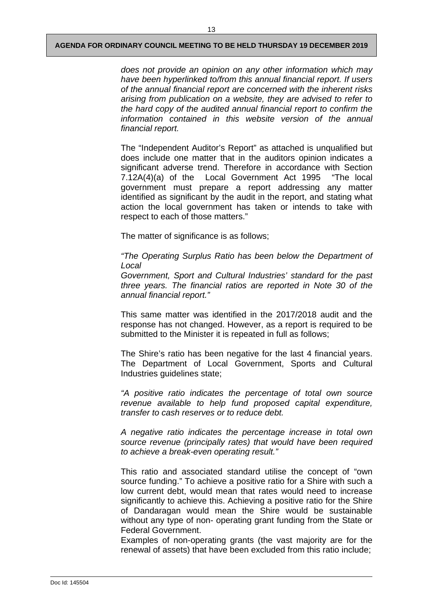*does not provide an opinion on any other information which may have been hyperlinked to/from this annual financial report. If users of the annual financial report are concerned with the inherent risks arising from publication on a website, they are advised to refer to the hard copy of the audited annual financial report to confirm the information contained in this website version of the annual financial report.*

The "Independent Auditor's Report" as attached is unqualified but does include one matter that in the auditors opinion indicates a significant adverse trend. Therefore in accordance with Section 7.12A(4)(a) of the Local Government Act 1995 "The local government must prepare a report addressing any matter identified as significant by the audit in the report, and stating what action the local government has taken or intends to take with respect to each of those matters."

The matter of significance is as follows;

*"The Operating Surplus Ratio has been below the Department of Local*

*Government, Sport and Cultural Industries' standard for the past three years. The financial ratios are reported in Note 30 of the annual financial report."*

This same matter was identified in the 2017/2018 audit and the response has not changed. However, as a report is required to be submitted to the Minister it is repeated in full as follows;

The Shire's ratio has been negative for the last 4 financial years. The Department of Local Government, Sports and Cultural Industries guidelines state;

*"A positive ratio indicates the percentage of total own source revenue available to help fund proposed capital expenditure, transfer to cash reserves or to reduce debt.*

*A negative ratio indicates the percentage increase in total own source revenue (principally rates) that would have been required to achieve a break-even operating result."*

This ratio and associated standard utilise the concept of "own source funding." To achieve a positive ratio for a Shire with such a low current debt, would mean that rates would need to increase significantly to achieve this. Achieving a positive ratio for the Shire of Dandaragan would mean the Shire would be sustainable without any type of non- operating grant funding from the State or Federal Government.

Examples of non-operating grants (the vast majority are for the renewal of assets) that have been excluded from this ratio include;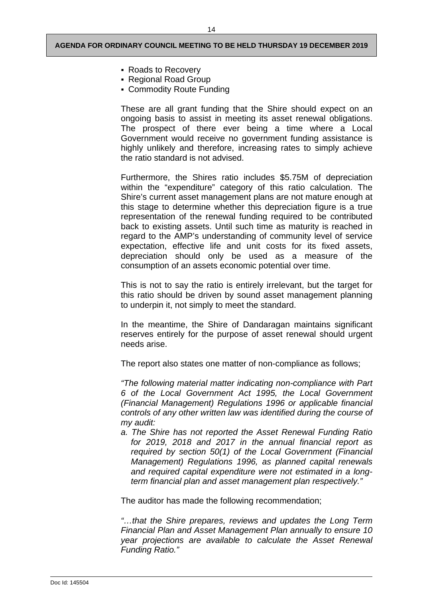- Roads to Recovery
- Regional Road Group
- Commodity Route Funding

These are all grant funding that the Shire should expect on an ongoing basis to assist in meeting its asset renewal obligations. The prospect of there ever being a time where a Local Government would receive no government funding assistance is highly unlikely and therefore, increasing rates to simply achieve the ratio standard is not advised.

Furthermore, the Shires ratio includes \$5.75M of depreciation within the "expenditure" category of this ratio calculation. The Shire's current asset management plans are not mature enough at this stage to determine whether this depreciation figure is a true representation of the renewal funding required to be contributed back to existing assets. Until such time as maturity is reached in regard to the AMP's understanding of community level of service expectation, effective life and unit costs for its fixed assets, depreciation should only be used as a measure of the consumption of an assets economic potential over time.

This is not to say the ratio is entirely irrelevant, but the target for this ratio should be driven by sound asset management planning to underpin it, not simply to meet the standard.

In the meantime, the Shire of Dandaragan maintains significant reserves entirely for the purpose of asset renewal should urgent needs arise.

The report also states one matter of non-compliance as follows;

*"The following material matter indicating non-compliance with Part 6 of the Local Government Act 1995, the Local Government (Financial Management) Regulations 1996 or applicable financial controls of any other written law was identified during the course of my audit:*

*a. The Shire has not reported the Asset Renewal Funding Ratio for 2019, 2018 and 2017 in the annual financial report as required by section 50(1) of the Local Government (Financial Management) Regulations 1996, as planned capital renewals and required capital expenditure were not estimated in a longterm financial plan and asset management plan respectively."*

The auditor has made the following recommendation;

*"…that the Shire prepares, reviews and updates the Long Term Financial Plan and Asset Management Plan annually to ensure 10 year projections are available to calculate the Asset Renewal Funding Ratio."*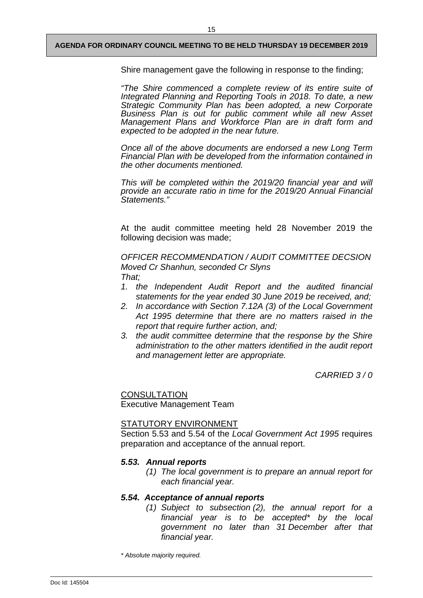Shire management gave the following in response to the finding;

*"The Shire commenced a complete review of its entire suite of Integrated Planning and Reporting Tools in 2018. To date, a new Strategic Community Plan has been adopted, a new Corporate Business Plan is out for public comment while all new Asset Management Plans and Workforce Plan are in draft form and expected to be adopted in the near future.*

*Once all of the above documents are endorsed a new Long Term Financial Plan with be developed from the information contained in the other documents mentioned.*

*This will be completed within the 2019/20 financial year and will provide an accurate ratio in time for the 2019/20 Annual Financial Statements."*

At the audit committee meeting held 28 November 2019 the following decision was made;

*OFFICER RECOMMENDATION / AUDIT COMMITTEE DECSION Moved Cr Shanhun, seconded Cr Slyns That;*

- *1. the Independent Audit Report and the audited financial statements for the year ended 30 June 2019 be received, and;*
- *2. In accordance with Section 7.12A (3) of the Local Government Act 1995 determine that there are no matters raised in the report that require further action, and;*
- *3. the audit committee determine that the response by the Shire administration to the other matters identified in the audit report and management letter are appropriate.*

*CARRIED 3 / 0* 

**CONSULTATION** 

Executive Management Team

## STATUTORY ENVIRONMENT

Section 5.53 and 5.54 of the *Local Government Act 1995* requires preparation and acceptance of the annual report.

## *5.53. Annual reports*

*(1) The local government is to prepare an annual report for each financial year.*

## *5.54. Acceptance of annual reports*

*(1) Subject to subsection (2), the annual report for a financial year is to be accepted\* by the local government no later than 31 December after that financial year.*

*\* Absolute majority required.*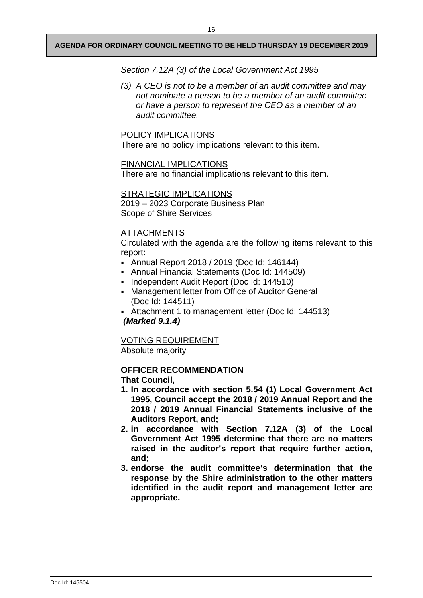*Section 7.12A (3) of the Local Government Act 1995*

*(3) A CEO is not to be a member of an audit committee and may not nominate a person to be a member of an audit committee or have a person to represent the CEO as a member of an audit committee.*

## POLICY IMPLICATIONS

There are no policy implications relevant to this item.

## FINANCIAL IMPLICATIONS

There are no financial implications relevant to this item.

## STRATEGIC IMPLICATIONS

2019 – 2023 Corporate Business Plan Scope of Shire Services

## ATTACHMENTS

Circulated with the agenda are the following items relevant to this report:

- Annual Report 2018 / 2019 (Doc Id: 146144)
- Annual Financial Statements (Doc Id: 144509)
- Independent Audit Report (Doc Id: 144510)
- Management letter from Office of Auditor General (Doc Id: 144511)
- Attachment 1 to management letter (Doc Id: 144513) *(Marked 9.1.4)*

VOTING REQUIREMENT

Absolute majority

## **OFFICER RECOMMENDATION**

**That Council,**

- **1. In accordance with section 5.54 (1) Local Government Act 1995, Council accept the 2018 / 2019 Annual Report and the 2018 / 2019 Annual Financial Statements inclusive of the Auditors Report, and;**
- **2. in accordance with Section 7.12A (3) of the Local Government Act 1995 determine that there are no matters raised in the auditor's report that require further action, and;**
- **3. endorse the audit committee's determination that the response by the Shire administration to the other matters identified in the audit report and management letter are appropriate.**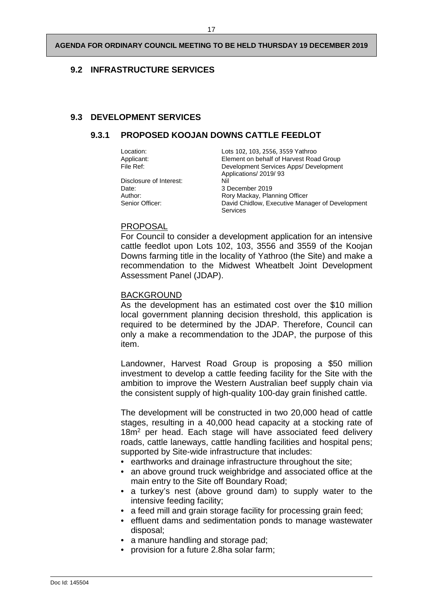## <span id="page-28-0"></span>**9.2 INFRASTRUCTURE SERVICES**

## <span id="page-28-2"></span><span id="page-28-1"></span>**9.3 DEVELOPMENT SERVICES**

## **9.3.1 PROPOSED KOOJAN DOWNS CATTLE FEEDLOT**

| Location:               | Lots 102, 103, 2556, 3559 Yathroo               |
|-------------------------|-------------------------------------------------|
| Applicant:              | Element on behalf of Harvest Road Group         |
| File Ref:               | Development Services Apps/ Development          |
|                         | Applications/ 2019/93                           |
| Disclosure of Interest: | Nil                                             |
| Date:                   | 3 December 2019                                 |
| Author:                 | Rory Mackay, Planning Officer                   |
| Senior Officer:         | David Chidlow, Executive Manager of Development |
|                         | Services                                        |

## PROPOSAL

For Council to consider a development application for an intensive cattle feedlot upon Lots 102, 103, 3556 and 3559 of the Koojan Downs farming title in the locality of Yathroo (the Site) and make a recommendation to the Midwest Wheatbelt Joint Development Assessment Panel (JDAP).

#### BACKGROUND

As the development has an estimated cost over the \$10 million local government planning decision threshold, this application is required to be determined by the JDAP. Therefore, Council can only a make a recommendation to the JDAP, the purpose of this item.

Landowner, Harvest Road Group is proposing a \$50 million investment to develop a cattle feeding facility for the Site with the ambition to improve the Western Australian beef supply chain via the consistent supply of high-quality 100-day grain finished cattle.

The development will be constructed in two 20,000 head of cattle stages, resulting in a 40,000 head capacity at a stocking rate of 18m<sup>2</sup> per head. Each stage will have associated feed delivery roads, cattle laneways, cattle handling facilities and hospital pens; supported by Site-wide infrastructure that includes:

- earthworks and drainage infrastructure throughout the site;
- an above ground truck weighbridge and associated office at the main entry to the Site off Boundary Road;
- a turkey's nest (above ground dam) to supply water to the intensive feeding facility;
- a feed mill and grain storage facility for processing grain feed;
- effluent dams and sedimentation ponds to manage wastewater disposal;
- a manure handling and storage pad;
- provision for a future 2.8ha solar farm;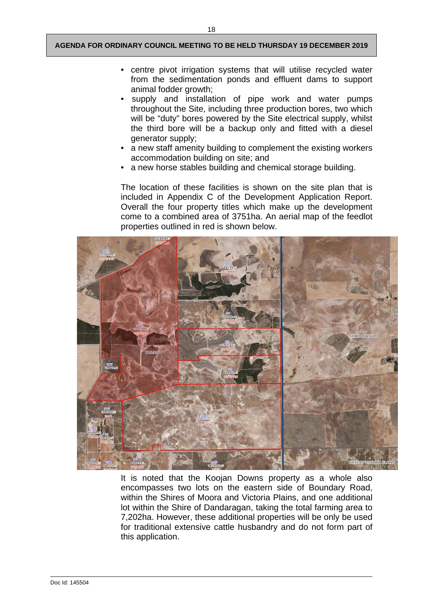- centre pivot irrigation systems that will utilise recycled water from the sedimentation ponds and effluent dams to support animal fodder growth;
- supply and installation of pipe work and water pumps throughout the Site, including three production bores, two which will be "duty" bores powered by the Site electrical supply, whilst the third bore will be a backup only and fitted with a diesel generator supply;
- a new staff amenity building to complement the existing workers accommodation building on site; and
- a new horse stables building and chemical storage building.

The location of these facilities is shown on the site plan that is included in Appendix C of the Development Application Report. Overall the four property titles which make up the development come to a combined area of 3751ha. An aerial map of the feedlot properties outlined in red is shown below.



It is noted that the Koojan Downs property as a whole also encompasses two lots on the eastern side of Boundary Road, within the Shires of Moora and Victoria Plains, and one additional lot within the Shire of Dandaragan, taking the total farming area to 7,202ha. However, these additional properties will be only be used for traditional extensive cattle husbandry and do not form part of this application.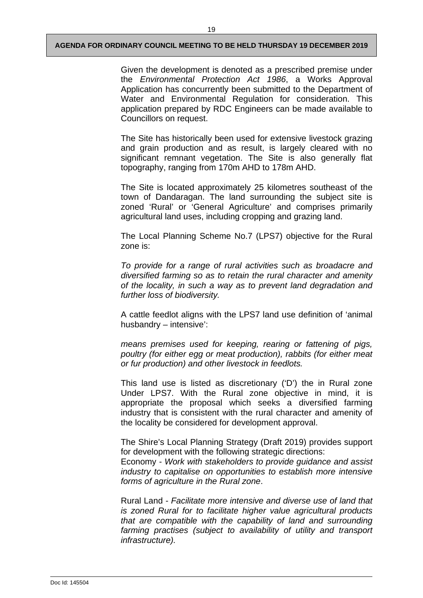Given the development is denoted as a prescribed premise under the *Environmental Protection Act 1986*, a Works Approval Application has concurrently been submitted to the Department of Water and Environmental Regulation for consideration. This application prepared by RDC Engineers can be made available to Councillors on request.

The Site has historically been used for extensive livestock grazing and grain production and as result, is largely cleared with no significant remnant vegetation. The Site is also generally flat topography, ranging from 170m AHD to 178m AHD.

The Site is located approximately 25 kilometres southeast of the town of Dandaragan. The land surrounding the subject site is zoned 'Rural' or 'General Agriculture' and comprises primarily agricultural land uses, including cropping and grazing land.

The Local Planning Scheme No.7 (LPS7) objective for the Rural zone is:

*To provide for a range of rural activities such as broadacre and diversified farming so as to retain the rural character and amenity of the locality, in such a way as to prevent land degradation and further loss of biodiversity.*

A cattle feedlot aligns with the LPS7 land use definition of 'animal husbandry – intensive':

*means premises used for keeping, rearing or fattening of pigs, poultry (for either egg or meat production), rabbits (for either meat or fur production) and other livestock in feedlots.*

This land use is listed as discretionary ('D') the in Rural zone Under LPS7. With the Rural zone objective in mind, it is appropriate the proposal which seeks a diversified farming industry that is consistent with the rural character and amenity of the locality be considered for development approval.

The Shire's Local Planning Strategy (Draft 2019) provides support for development with the following strategic directions:

Economy - *Work with stakeholders to provide guidance and assist industry to capitalise on opportunities to establish more intensive forms of agriculture in the Rural zone*.

Rural Land - *Facilitate more intensive and diverse use of land that is zoned Rural for to facilitate higher value agricultural products that are compatible with the capability of land and surrounding farming practises (subject to availability of utility and transport infrastructure).*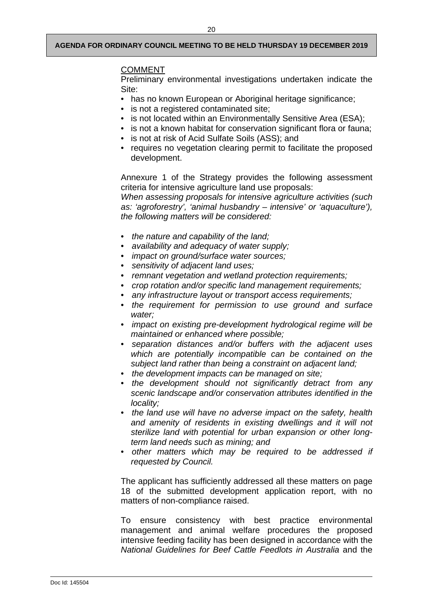20

## **COMMENT**

Preliminary environmental investigations undertaken indicate the Site:

- has no known European or Aboriginal heritage significance;
- is not a registered contaminated site;
- is not located within an Environmentally Sensitive Area (ESA);
- is not a known habitat for conservation significant flora or fauna;
- is not at risk of Acid Sulfate Soils (ASS); and
- requires no vegetation clearing permit to facilitate the proposed development.

Annexure 1 of the Strategy provides the following assessment criteria for intensive agriculture land use proposals:

*When assessing proposals for intensive agriculture activities (such as: 'agroforestry', 'animal husbandry – intensive' or 'aquaculture'), the following matters will be considered:*

- • *the nature and capability of the land;*
- • *availability and adequacy of water supply;*
- • *impact on ground/surface water sources;*
- • *sensitivity of adjacent land uses;*
- • *remnant vegetation and wetland protection requirements;*
- • *crop rotation and/or specific land management requirements;*
- • *any infrastructure layout or transport access requirements;*
- • *the requirement for permission to use ground and surface water;*
- • *impact on existing pre-development hydrological regime will be maintained or enhanced where possible;*
- • *separation distances and/or buffers with the adjacent uses which are potentially incompatible can be contained on the subject land rather than being a constraint on adjacent land;*
- • *the development impacts can be managed on site;*
- • *the development should not significantly detract from any scenic landscape and/or conservation attributes identified in the locality;*
- • *the land use will have no adverse impact on the safety, health and amenity of residents in existing dwellings and it will not sterilize land with potential for urban expansion or other longterm land needs such as mining; and*
- • *other matters which may be required to be addressed if requested by Council.*

The applicant has sufficiently addressed all these matters on page 18 of the submitted development application report, with no matters of non-compliance raised.

To ensure consistency with best practice environmental management and animal welfare procedures the proposed intensive feeding facility has been designed in accordance with the *National Guidelines for Beef Cattle Feedlots in Australia* and the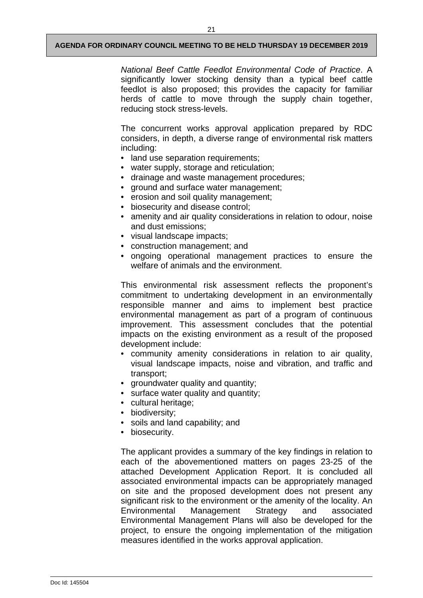*National Beef Cattle Feedlot Environmental Code of Practice*. A significantly lower stocking density than a typical beef cattle feedlot is also proposed; this provides the capacity for familiar herds of cattle to move through the supply chain together, reducing stock stress-levels.

The concurrent works approval application prepared by RDC considers, in depth, a diverse range of environmental risk matters including:

- land use separation requirements;
- water supply, storage and reticulation;
- drainage and waste management procedures;
- ground and surface water management;
- erosion and soil quality management;
- biosecurity and disease control;
- amenity and air quality considerations in relation to odour, noise and dust emissions;
- visual landscape impacts;
- construction management; and
- ongoing operational management practices to ensure the welfare of animals and the environment.

This environmental risk assessment reflects the proponent's commitment to undertaking development in an environmentally responsible manner and aims to implement best practice environmental management as part of a program of continuous improvement. This assessment concludes that the potential impacts on the existing environment as a result of the proposed development include:

- community amenity considerations in relation to air quality, visual landscape impacts, noise and vibration, and traffic and transport;
- groundwater quality and quantity;
- surface water quality and quantity;
- cultural heritage;
- biodiversity;
- soils and land capability; and
- biosecurity.

The applicant provides a summary of the key findings in relation to each of the abovementioned matters on pages 23-25 of the attached Development Application Report. It is concluded all associated environmental impacts can be appropriately managed on site and the proposed development does not present any significant risk to the environment or the amenity of the locality. An Environmental Management Strategy and associated Environmental Management Plans will also be developed for the project, to ensure the ongoing implementation of the mitigation measures identified in the works approval application.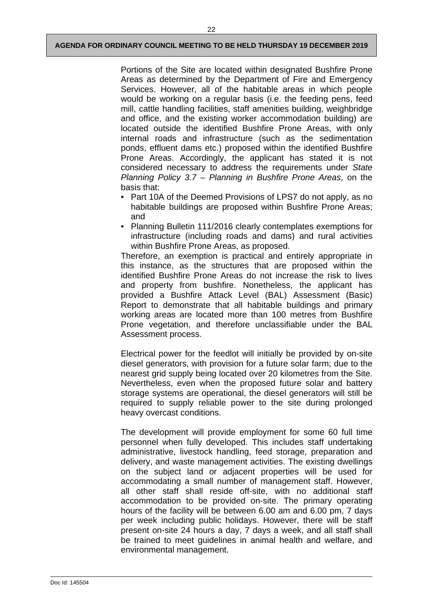Portions of the Site are located within designated Bushfire Prone Areas as determined by the Department of Fire and Emergency Services. However, all of the habitable areas in which people would be working on a regular basis (i.e. the feeding pens, feed mill, cattle handling facilities, staff amenities building, weighbridge and office, and the existing worker accommodation building) are located outside the identified Bushfire Prone Areas, with only internal roads and infrastructure (such as the sedimentation ponds, effluent dams etc.) proposed within the identified Bushfire Prone Areas. Accordingly, the applicant has stated it is not considered necessary to address the requirements under *State Planning Policy 3.7 – Planning in Bushfire Prone Areas*, on the basis that:

- Part 10A of the Deemed Provisions of LPS7 do not apply, as no habitable buildings are proposed within Bushfire Prone Areas; and
- Planning Bulletin 111/2016 clearly contemplates exemptions for infrastructure (including roads and dams) and rural activities within Bushfire Prone Areas, as proposed.

Therefore, an exemption is practical and entirely appropriate in this instance, as the structures that are proposed within the identified Bushfire Prone Areas do not increase the risk to lives and property from bushfire. Nonetheless, the applicant has provided a Bushfire Attack Level (BAL) Assessment (Basic) Report to demonstrate that all habitable buildings and primary working areas are located more than 100 metres from Bushfire Prone vegetation, and therefore unclassifiable under the BAL Assessment process.

Electrical power for the feedlot will initially be provided by on-site diesel generators, with provision for a future solar farm; due to the nearest grid supply being located over 20 kilometres from the Site. Nevertheless, even when the proposed future solar and battery storage systems are operational, the diesel generators will still be required to supply reliable power to the site during prolonged heavy overcast conditions.

The development will provide employment for some 60 full time personnel when fully developed. This includes staff undertaking administrative, livestock handling, feed storage, preparation and delivery, and waste management activities. The existing dwellings on the subject land or adjacent properties will be used for accommodating a small number of management staff. However, all other staff shall reside off-site, with no additional staff accommodation to be provided on-site. The primary operating hours of the facility will be between 6.00 am and 6.00 pm, 7 days per week including public holidays. However, there will be staff present on-site 24 hours a day, 7 days a week, and all staff shall be trained to meet guidelines in animal health and welfare, and environmental management.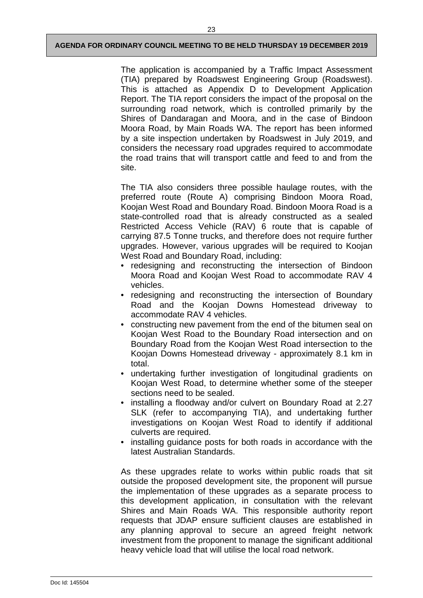The application is accompanied by a Traffic Impact Assessment (TIA) prepared by Roadswest Engineering Group (Roadswest). This is attached as Appendix D to Development Application Report. The TIA report considers the impact of the proposal on the surrounding road network, which is controlled primarily by the Shires of Dandaragan and Moora, and in the case of Bindoon Moora Road, by Main Roads WA. The report has been informed by a site inspection undertaken by Roadswest in July 2019, and considers the necessary road upgrades required to accommodate the road trains that will transport cattle and feed to and from the site.

The TIA also considers three possible haulage routes, with the preferred route (Route A) comprising Bindoon Moora Road, Koojan West Road and Boundary Road. Bindoon Moora Road is a state-controlled road that is already constructed as a sealed Restricted Access Vehicle (RAV) 6 route that is capable of carrying 87.5 Tonne trucks, and therefore does not require further upgrades. However, various upgrades will be required to Koojan West Road and Boundary Road, including:

- redesigning and reconstructing the intersection of Bindoon Moora Road and Koojan West Road to accommodate RAV 4 vehicles.
- redesigning and reconstructing the intersection of Boundary Road and the Koojan Downs Homestead driveway to accommodate RAV 4 vehicles.
- constructing new pavement from the end of the bitumen seal on Koojan West Road to the Boundary Road intersection and on Boundary Road from the Koojan West Road intersection to the Koojan Downs Homestead driveway - approximately 8.1 km in total.
- undertaking further investigation of longitudinal gradients on Koojan West Road, to determine whether some of the steeper sections need to be sealed.
- installing a floodway and/or culvert on Boundary Road at 2.27 SLK (refer to accompanying TIA), and undertaking further investigations on Koojan West Road to identify if additional culverts are required.
- installing guidance posts for both roads in accordance with the latest Australian Standards.

As these upgrades relate to works within public roads that sit outside the proposed development site, the proponent will pursue the implementation of these upgrades as a separate process to this development application, in consultation with the relevant Shires and Main Roads WA. This responsible authority report requests that JDAP ensure sufficient clauses are established in any planning approval to secure an agreed freight network investment from the proponent to manage the significant additional heavy vehicle load that will utilise the local road network.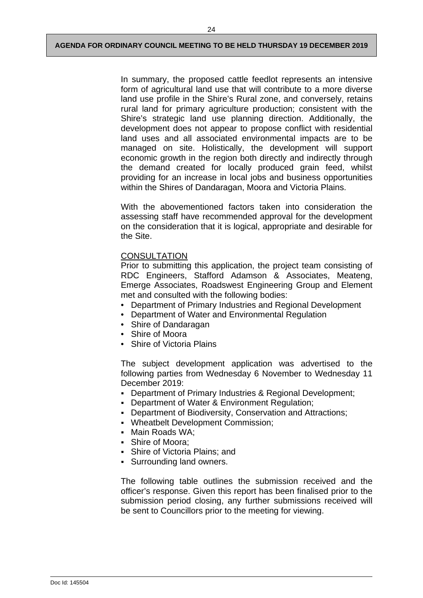In summary, the proposed cattle feedlot represents an intensive form of agricultural land use that will contribute to a more diverse land use profile in the Shire's Rural zone, and conversely, retains rural land for primary agriculture production; consistent with the Shire's strategic land use planning direction. Additionally, the development does not appear to propose conflict with residential land uses and all associated environmental impacts are to be managed on site. Holistically, the development will support economic growth in the region both directly and indirectly through the demand created for locally produced grain feed, whilst providing for an increase in local jobs and business opportunities within the Shires of Dandaragan, Moora and Victoria Plains.

With the abovementioned factors taken into consideration the assessing staff have recommended approval for the development on the consideration that it is logical, appropriate and desirable for the Site.

## **CONSULTATION**

Prior to submitting this application, the project team consisting of RDC Engineers, Stafford Adamson & Associates, Meateng, Emerge Associates, Roadswest Engineering Group and Element met and consulted with the following bodies:

- Department of Primary Industries and Regional Development
- Department of Water and Environmental Regulation
- Shire of Dandaragan
- Shire of Moora
- Shire of Victoria Plains

The subject development application was advertised to the following parties from Wednesday 6 November to Wednesday 11 December 2019:

- Department of Primary Industries & Regional Development;
- **-** Department of Water & Environment Regulation;
- Department of Biodiversity, Conservation and Attractions;
- Wheatbelt Development Commission;
- Main Roads WA;
- Shire of Moora;
- Shire of Victoria Plains; and
- Surrounding land owners.

The following table outlines the submission received and the officer's response. Given this report has been finalised prior to the submission period closing, any further submissions received will be sent to Councillors prior to the meeting for viewing.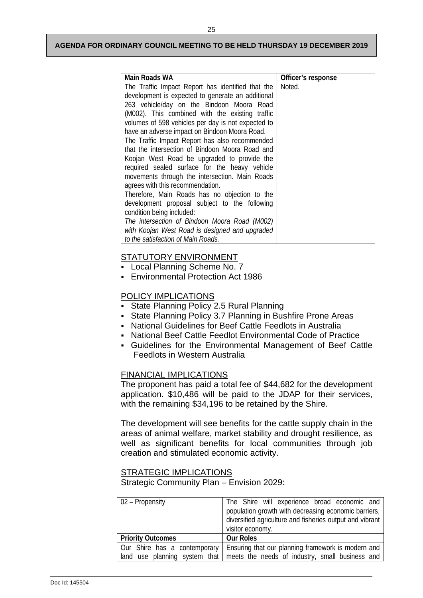| Main Roads WA                                      | Officer's response |
|----------------------------------------------------|--------------------|
| The Traffic Impact Report has identified that the  | Noted.             |
| development is expected to generate an additional  |                    |
| 263 vehicle/day on the Bindoon Moora Road          |                    |
| (M002). This combined with the existing traffic    |                    |
| volumes of 598 vehicles per day is not expected to |                    |
| have an adverse impact on Bindoon Moora Road.      |                    |
| The Traffic Impact Report has also recommended     |                    |
| that the intersection of Bindoon Moora Road and    |                    |
| Koojan West Road be upgraded to provide the        |                    |
| required sealed surface for the heavy vehicle      |                    |
| movements through the intersection. Main Roads     |                    |
| agrees with this recommendation.                   |                    |
| Therefore, Main Roads has no objection to the      |                    |
| development proposal subject to the following      |                    |
| condition being included:                          |                    |
| The intersection of Bindoon Moora Road (M002)      |                    |
| with Koojan West Road is designed and upgraded     |                    |
| to the satisfaction of Main Roads.                 |                    |

## STATUTORY ENVIRONMENT

- **Local Planning Scheme No. 7**
- Environmental Protection Act 1986

## POLICY IMPLICATIONS

- State Planning Policy 2.5 Rural Planning
- State Planning Policy 3.7 Planning in Bushfire Prone Areas
- National Guidelines for Beef Cattle Feedlots in Australia
- National Beef Cattle Feedlot Environmental Code of Practice
- Guidelines for the Environmental Management of Beef Cattle Feedlots in Western Australia

## FINANCIAL IMPLICATIONS

The proponent has paid a total fee of \$44,682 for the development application. \$10,486 will be paid to the JDAP for their services, with the remaining \$34,196 to be retained by the Shire.

The development will see benefits for the cattle supply chain in the areas of animal welfare, market stability and drought resilience, as well as significant benefits for local communities through job creation and stimulated economic activity.

## STRATEGIC IMPLICATIONS

Strategic Community Plan – Envision 2029:

| 02 – Propensity              | The Shire will experience broad economic and<br>population growth with decreasing economic barriers,<br>diversified agriculture and fisheries output and vibrant<br>visitor economy. |
|------------------------------|--------------------------------------------------------------------------------------------------------------------------------------------------------------------------------------|
| <b>Priority Outcomes</b>     | <b>Our Roles</b>                                                                                                                                                                     |
| Our Shire has a contemporary | Ensuring that our planning framework is modern and<br>land use planning system that meets the needs of industry, small business and                                                  |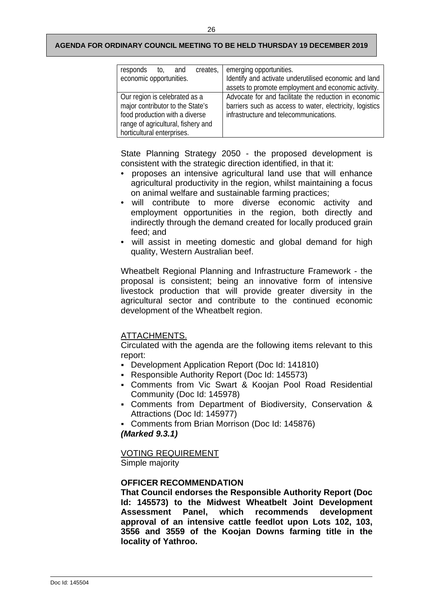| creates,<br>responds to,<br>and<br>economic opportunities.                                                                                                              | emerging opportunities.<br>Identify and activate underutilised economic and land<br>assets to promote employment and economic activity.                     |  |
|-------------------------------------------------------------------------------------------------------------------------------------------------------------------------|-------------------------------------------------------------------------------------------------------------------------------------------------------------|--|
| Our region is celebrated as a<br>major contributor to the State's<br>food production with a diverse<br>range of agricultural, fishery and<br>horticultural enterprises. | Advocate for and facilitate the reduction in economic<br>barriers such as access to water, electricity, logistics<br>infrastructure and telecommunications. |  |

State Planning Strategy 2050 - the proposed development is consistent with the strategic direction identified, in that it:

- proposes an intensive agricultural land use that will enhance agricultural productivity in the region, whilst maintaining a focus on animal welfare and sustainable farming practices;
- will contribute to more diverse economic activity and employment opportunities in the region, both directly and indirectly through the demand created for locally produced grain feed; and
- will assist in meeting domestic and global demand for high quality, Western Australian beef.

Wheatbelt Regional Planning and Infrastructure Framework - the proposal is consistent; being an innovative form of intensive livestock production that will provide greater diversity in the agricultural sector and contribute to the continued economic development of the Wheatbelt region.

## ATTACHMENTS.

Circulated with the agenda are the following items relevant to this report:

- Development Application Report (Doc Id: 141810)
- Responsible Authority Report (Doc Id: 145573)
- Comments from Vic Swart & Koojan Pool Road Residential Community (Doc Id: 145978)
- Comments from Department of Biodiversity, Conservation & Attractions (Doc Id: 145977)
- Comments from Brian Morrison (Doc Id: 145876)

## *(Marked 9.3.1)*

VOTING REQUIREMENT

Simple majority

## **OFFICER RECOMMENDATION**

**That Council endorses the Responsible Authority Report (Doc Id: 145573) to the Midwest Wheatbelt Joint Development Assessment Panel, which recommends development approval of an intensive cattle feedlot upon Lots 102, 103, 3556 and 3559 of the Koojan Downs farming title in the locality of Yathroo.**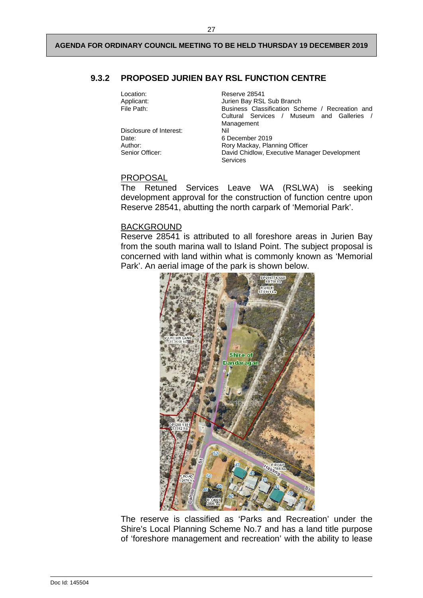## <span id="page-38-0"></span>**9.3.2 PROPOSED JURIEN BAY RSL FUNCTION CENTRE**

| Location:<br>Applicant:<br>File Path:                          | Reserve 28541<br>Jurien Bay RSL Sub Branch<br>Business Classification Scheme / Recreation and<br>Cultural Services / Museum and Galleries /<br>Management |  |
|----------------------------------------------------------------|-----------------------------------------------------------------------------------------------------------------------------------------------------------|--|
| Disclosure of Interest:<br>Date:<br>Author:<br>Senior Officer: | Nil<br>6 December 2019<br>Rory Mackay, Planning Officer<br>David Chidlow, Executive Manager Development<br><b>Services</b>                                |  |

## PROPOSAL

The Retuned Services Leave WA (RSLWA) is seeking development approval for the construction of function centre upon Reserve 28541, abutting the north carpark of 'Memorial Park'.

#### BACKGROUND

Reserve 28541 is attributed to all foreshore areas in Jurien Bay from the south marina wall to Island Point. The subject proposal is concerned with land within what is commonly known as 'Memorial Park'. An aerial image of the park is shown below.



The reserve is classified as 'Parks and Recreation' under the Shire's Local Planning Scheme No.7 and has a land title purpose of 'foreshore management and recreation' with the ability to lease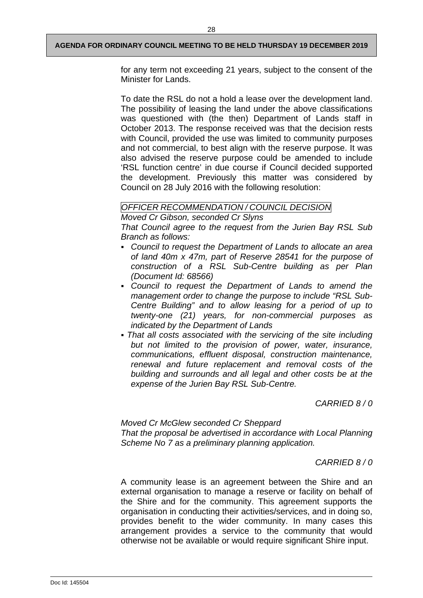for any term not exceeding 21 years, subject to the consent of the Minister for Lands.

To date the RSL do not a hold a lease over the development land. The possibility of leasing the land under the above classifications was questioned with (the then) Department of Lands staff in October 2013. The response received was that the decision rests with Council, provided the use was limited to community purposes and not commercial, to best align with the reserve purpose. It was also advised the reserve purpose could be amended to include 'RSL function centre' in due course if Council decided supported the development. Previously this matter was considered by Council on 28 July 2016 with the following resolution:

## *OFFICER RECOMMENDATION / COUNCIL DECISION*

*Moved Cr Gibson, seconded Cr Slyns*

*That Council agree to the request from the Jurien Bay RSL Sub Branch as follows:*

- *Council to request the Department of Lands to allocate an area of land 40m x 47m, part of Reserve 28541 for the purpose of construction of a RSL Sub-Centre building as per Plan (Document Id: 68566)*
- *Council to request the Department of Lands to amend the management order to change the purpose to include "RSL Sub-Centre Building" and to allow leasing for a period of up to twenty-one (21) years, for non-commercial purposes as indicated by the Department of Lands*
- *That all costs associated with the servicing of the site including but not limited to the provision of power, water, insurance, communications, effluent disposal, construction maintenance, renewal and future replacement and removal costs of the building and surrounds and all legal and other costs be at the expense of the Jurien Bay RSL Sub-Centre.*

*CARRIED 8 / 0*

*Moved Cr McGlew seconded Cr Sheppard That the proposal be advertised in accordance with Local Planning Scheme No 7 as a preliminary planning application.*

## *CARRIED 8 / 0*

A community lease is an agreement between the Shire and an external organisation to manage a reserve or facility on behalf of the Shire and for the community. This agreement supports the organisation in conducting their activities/services, and in doing so, provides benefit to the wider community. In many cases this arrangement provides a service to the community that would otherwise not be available or would require significant Shire input.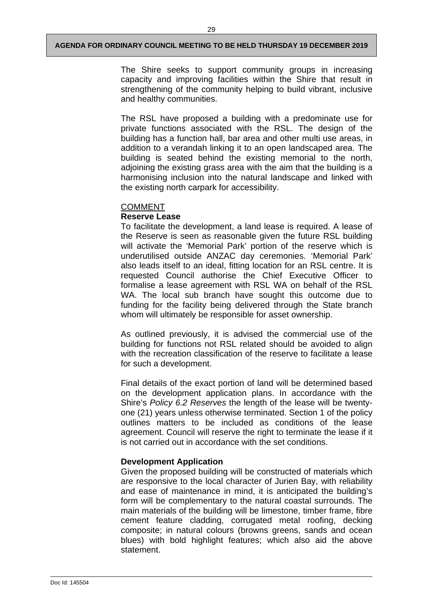The Shire seeks to support community groups in increasing capacity and improving facilities within the Shire that result in strengthening of the community helping to build vibrant, inclusive and healthy communities.

The RSL have proposed a building with a predominate use for private functions associated with the RSL. The design of the building has a function hall, bar area and other multi use areas, in addition to a verandah linking it to an open landscaped area. The building is seated behind the existing memorial to the north, adjoining the existing grass area with the aim that the building is a harmonising inclusion into the natural landscape and linked with the existing north carpark for accessibility.

## COMMENT

## **Reserve Lease**

To facilitate the development, a land lease is required. A lease of the Reserve is seen as reasonable given the future RSL building will activate the 'Memorial Park' portion of the reserve which is underutilised outside ANZAC day ceremonies. 'Memorial Park' also leads itself to an ideal, fitting location for an RSL centre. It is requested Council authorise the Chief Executive Officer to formalise a lease agreement with RSL WA on behalf of the RSL WA. The local sub branch have sought this outcome due to funding for the facility being delivered through the State branch whom will ultimately be responsible for asset ownership.

As outlined previously, it is advised the commercial use of the building for functions not RSL related should be avoided to align with the recreation classification of the reserve to facilitate a lease for such a development.

Final details of the exact portion of land will be determined based on the development application plans. In accordance with the Shire's *Policy 6.2 Reserves* the length of the lease will be twentyone (21) years unless otherwise terminated. Section 1 of the policy outlines matters to be included as conditions of the lease agreement. Council will reserve the right to terminate the lease if it is not carried out in accordance with the set conditions.

## **Development Application**

Given the proposed building will be constructed of materials which are responsive to the local character of Jurien Bay, with reliability and ease of maintenance in mind, it is anticipated the building's form will be complementary to the natural coastal surrounds. The main materials of the building will be limestone, timber frame, fibre cement feature cladding, corrugated metal roofing, decking composite; in natural colours (browns greens, sands and ocean blues) with bold highlight features; which also aid the above statement.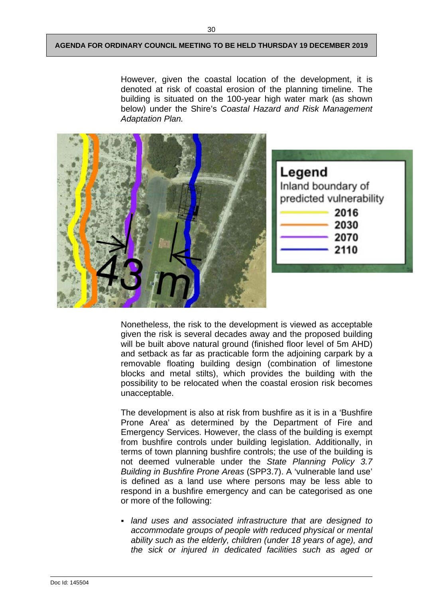However, given the coastal location of the development, it is denoted at risk of coastal erosion of the planning timeline. The building is situated on the 100-year high water mark (as shown below) under the Shire's *Coastal Hazard and Risk Management Adaptation Plan.*



Nonetheless, the risk to the development is viewed as acceptable given the risk is several decades away and the proposed building will be built above natural ground (finished floor level of 5m AHD) and setback as far as practicable form the adjoining carpark by a removable floating building design (combination of limestone blocks and metal stilts), which provides the building with the possibility to be relocated when the coastal erosion risk becomes unacceptable.

The development is also at risk from bushfire as it is in a 'Bushfire Prone Area' as determined by the Department of Fire and Emergency Services. However, the class of the building is exempt from bushfire controls under building legislation. Additionally, in terms of town planning bushfire controls; the use of the building is not deemed vulnerable under the *State Planning Policy 3.7 Building in Bushfire Prone Areas* (SPP3.7). A 'vulnerable land use' is defined as a land use where persons may be less able to respond in a bushfire emergency and can be categorised as one or more of the following:

 *land uses and associated infrastructure that are designed to accommodate groups of people with reduced physical or mental ability such as the elderly, children (under 18 years of age), and the sick or injured in dedicated facilities such as aged or*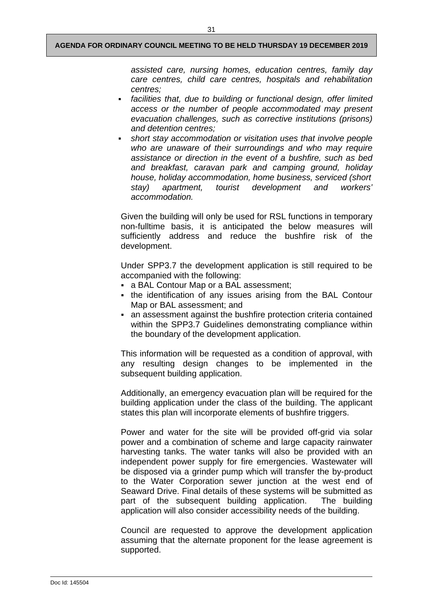*assisted care, nursing homes, education centres, family day care centres, child care centres, hospitals and rehabilitation centres;* 

- *facilities that, due to building or functional design, offer limited access or the number of people accommodated may present evacuation challenges, such as corrective institutions (prisons) and detention centres;*
- *short stay accommodation or visitation uses that involve people who are unaware of their surroundings and who may require assistance or direction in the event of a bushfire, such as bed and breakfast, caravan park and camping ground, holiday house, holiday accommodation, home business, serviced (short stay) apartment, tourist development and workers' accommodation.*

Given the building will only be used for RSL functions in temporary non-fulltime basis, it is anticipated the below measures will sufficiently address and reduce the bushfire risk of the development.

Under SPP3.7 the development application is still required to be accompanied with the following:

- a BAL Contour Map or a BAL assessment;
- the identification of any issues arising from the BAL Contour Map or BAL assessment; and
- an assessment against the bushfire protection criteria contained within the SPP3.7 Guidelines demonstrating compliance within the boundary of the development application.

This information will be requested as a condition of approval, with any resulting design changes to be implemented in the subsequent building application.

Additionally, an emergency evacuation plan will be required for the building application under the class of the building. The applicant states this plan will incorporate elements of bushfire triggers.

Power and water for the site will be provided off-grid via solar power and a combination of scheme and large capacity rainwater harvesting tanks. The water tanks will also be provided with an independent power supply for fire emergencies. Wastewater will be disposed via a grinder pump which will transfer the by-product to the Water Corporation sewer junction at the west end of Seaward Drive. Final details of these systems will be submitted as part of the subsequent building application. The building application will also consider accessibility needs of the building.

Council are requested to approve the development application assuming that the alternate proponent for the lease agreement is supported.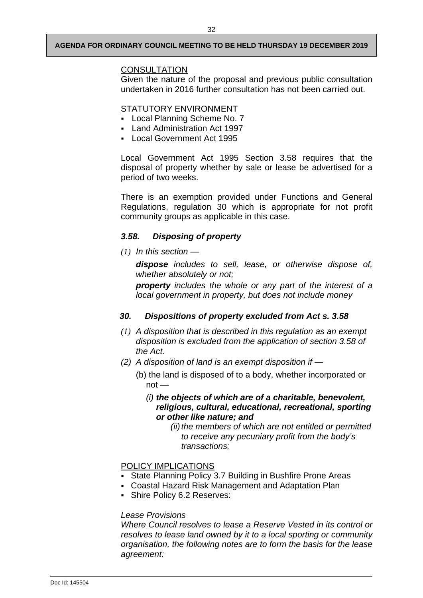## **CONSULTATION**

Given the nature of the proposal and previous public consultation undertaken in 2016 further consultation has not been carried out.

## STATUTORY ENVIRONMENT

- Local Planning Scheme No. 7
- Land Administration Act 1997
- **Local Government Act 1995**

Local Government Act 1995 Section 3.58 requires that the disposal of property whether by sale or lease be advertised for a period of two weeks.

There is an exemption provided under Functions and General Regulations, regulation 30 which is appropriate for not profit community groups as applicable in this case.

## *3.58. Disposing of property*

*(1) In this section —*

*dispose includes to sell, lease, or otherwise dispose of, whether absolutely or not;*

*property includes the whole or any part of the interest of a local government in property, but does not include money*

## *30. Dispositions of property excluded from Act s. 3.58*

- *(1) A disposition that is described in this regulation as an exempt disposition is excluded from the application of section 3.58 of the Act.*
- *(2) A disposition of land is an exempt disposition if —*
	- (b) the land is disposed of to a body, whether incorporated or  $not -$ 
		- *(i) the objects of which are of a charitable, benevolent, religious, cultural, educational, recreational, sporting or other like nature; and*

*(ii)* the members of which are not entitled or permitted *to receive any pecuniary profit from the body's transactions;*

## POLICY IMPLICATIONS

- State Planning Policy 3.7 Building in Bushfire Prone Areas
- Coastal Hazard Risk Management and Adaptation Plan
- **Shire Policy 6.2 Reserves:**

## *Lease Provisions*

*Where Council resolves to lease a Reserve Vested in its control or resolves to lease land owned by it to a local sporting or community organisation, the following notes are to form the basis for the lease agreement:*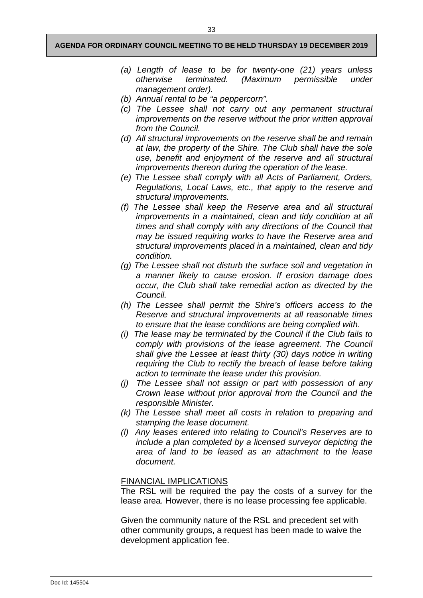- *(a) Length of lease to be for twenty-one (21) years unless otherwise terminated. (Maximum permissible under management order).*
- *(b) Annual rental to be "a peppercorn".*
- *(c) The Lessee shall not carry out any permanent structural improvements on the reserve without the prior written approval from the Council.*
- *(d) All structural improvements on the reserve shall be and remain at law, the property of the Shire. The Club shall have the sole use, benefit and enjoyment of the reserve and all structural improvements thereon during the operation of the lease.*
- *(e) The Lessee shall comply with all Acts of Parliament, Orders, Regulations, Local Laws, etc., that apply to the reserve and structural improvements.*
- *(f) The Lessee shall keep the Reserve area and all structural improvements in a maintained, clean and tidy condition at all times and shall comply with any directions of the Council that may be issued requiring works to have the Reserve area and structural improvements placed in a maintained, clean and tidy condition.*
- *(g) The Lessee shall not disturb the surface soil and vegetation in a manner likely to cause erosion. If erosion damage does occur, the Club shall take remedial action as directed by the Council.*
- *(h) The Lessee shall permit the Shire's officers access to the Reserve and structural improvements at all reasonable times to ensure that the lease conditions are being complied with.*
- *(i) The lease may be terminated by the Council if the Club fails to comply with provisions of the lease agreement. The Council shall give the Lessee at least thirty (30) days notice in writing requiring the Club to rectify the breach of lease before taking action to terminate the lease under this provision.*
- *(j) The Lessee shall not assign or part with possession of any Crown lease without prior approval from the Council and the responsible Minister.*
- *(k) The Lessee shall meet all costs in relation to preparing and stamping the lease document.*
- *(l) Any leases entered into relating to Council's Reserves are to include a plan completed by a licensed surveyor depicting the area of land to be leased as an attachment to the lease document.*

## FINANCIAL IMPLICATIONS

The RSL will be required the pay the costs of a survey for the lease area. However, there is no lease processing fee applicable.

Given the community nature of the RSL and precedent set with other community groups, a request has been made to waive the development application fee.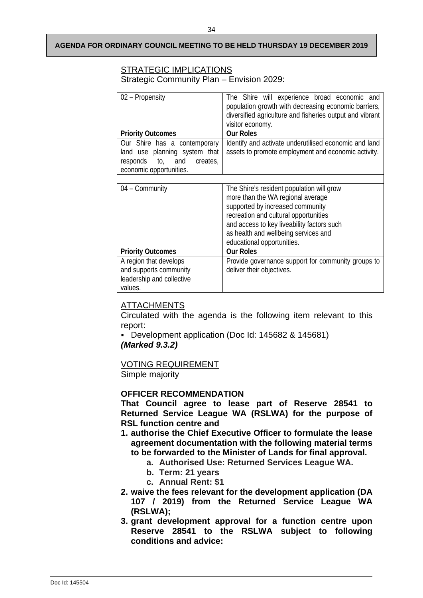## STRATEGIC IMPLICATIONS

Strategic Community Plan – Envision 2029:

| 02 - Propensity                                                                                                          | The Shire will experience broad economic and<br>population growth with decreasing economic barriers,<br>diversified agriculture and fisheries output and vibrant<br>visitor economy.                                                                                            |  |
|--------------------------------------------------------------------------------------------------------------------------|---------------------------------------------------------------------------------------------------------------------------------------------------------------------------------------------------------------------------------------------------------------------------------|--|
| <b>Priority Outcomes</b>                                                                                                 | <b>Our Roles</b>                                                                                                                                                                                                                                                                |  |
| Our Shire has a contemporary<br>land use planning system that<br>responds to, and<br>creates,<br>economic opportunities. | Identify and activate underutilised economic and land<br>assets to promote employment and economic activity.                                                                                                                                                                    |  |
|                                                                                                                          |                                                                                                                                                                                                                                                                                 |  |
| $04 - \text{Community}$                                                                                                  | The Shire's resident population will grow<br>more than the WA regional average<br>supported by increased community<br>recreation and cultural opportunities<br>and access to key liveability factors such<br>as health and wellbeing services and<br>educational opportunities. |  |
| <b>Priority Outcomes</b>                                                                                                 | <b>Our Roles</b>                                                                                                                                                                                                                                                                |  |
| A region that develops<br>and supports community<br>leadership and collective<br>values.                                 | Provide governance support for community groups to<br>deliver their objectives.                                                                                                                                                                                                 |  |

## ATTACHMENTS

Circulated with the agenda is the following item relevant to this report:

 Development application (Doc Id: 145682 & 145681) *(Marked 9.3.2)*

## VOTING REQUIREMENT

Simple majority

## **OFFICER RECOMMENDATION**

**That Council agree to lease part of Reserve 28541 to Returned Service League WA (RSLWA) for the purpose of RSL function centre and**

- **1. authorise the Chief Executive Officer to formulate the lease agreement documentation with the following material terms to be forwarded to the Minister of Lands for final approval.** 
	- **a. Authorised Use: Returned Services League WA.**
	- **b. Term: 21 years**
	- **c. Annual Rent: \$1**
- **2. waive the fees relevant for the development application (DA 107 / 2019) from the Returned Service League WA (RSLWA);**
- **3. grant development approval for a function centre upon Reserve 28541 to the RSLWA subject to following conditions and advice:**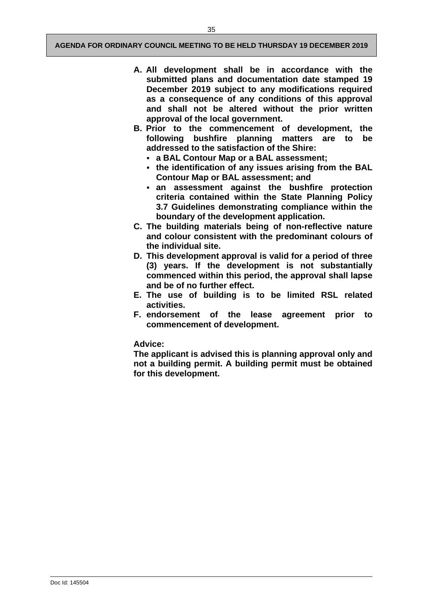- **A. All development shall be in accordance with the submitted plans and documentation date stamped 19 December 2019 subject to any modifications required as a consequence of any conditions of this approval and shall not be altered without the prior written approval of the local government.**
- **B. Prior to the commencement of development, the following bushfire planning matters are to be addressed to the satisfaction of the Shire:** 
	- **a BAL Contour Map or a BAL assessment;**
	- **the identification of any issues arising from the BAL Contour Map or BAL assessment; and**
	- **an assessment against the bushfire protection criteria contained within the State Planning Policy 3.7 Guidelines demonstrating compliance within the boundary of the development application.**
- **C. The building materials being of non-reflective nature and colour consistent with the predominant colours of the individual site.**
- **D. This development approval is valid for a period of three (3) years. If the development is not substantially commenced within this period, the approval shall lapse and be of no further effect.**
- **E. The use of building is to be limited RSL related activities.**
- **F. endorsement of the lease agreement prior to commencement of development.**

#### **Advice:**

**The applicant is advised this is planning approval only and not a building permit. A building permit must be obtained for this development.**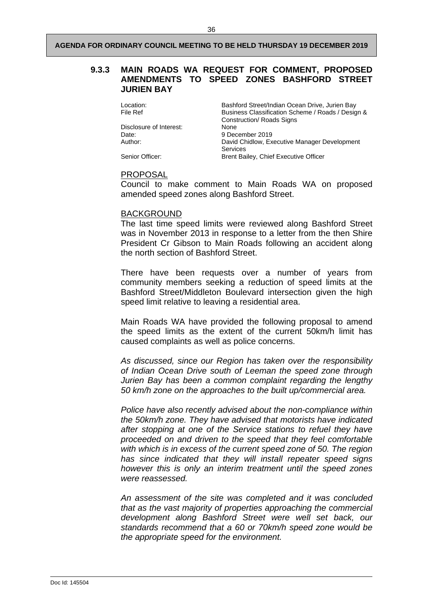## <span id="page-47-0"></span>**9.3.3 MAIN ROADS WA REQUEST FOR COMMENT, PROPOSED AMENDMENTS TO SPEED ZONES BASHFORD STREET JURIEN BAY**

Location: Bashford Street/Indian Ocean Drive, Jurien Bay<br>File Ref Business Classification Scheme / Roads / Design Business Classification Scheme / Roads / Design & Construction/ Roads Signs Disclosure of Interest: Date: 9 December 2019 Author: David Chidlow, Executive Manager Development Services Senior Officer: Brent Bailey, Chief Executive Officer

## PROPOSAL

Council to make comment to Main Roads WA on proposed amended speed zones along Bashford Street.

#### BACKGROUND

The last time speed limits were reviewed along Bashford Street was in November 2013 in response to a letter from the then Shire President Cr Gibson to Main Roads following an accident along the north section of Bashford Street.

There have been requests over a number of years from community members seeking a reduction of speed limits at the Bashford Street/Middleton Boulevard intersection given the high speed limit relative to leaving a residential area.

Main Roads WA have provided the following proposal to amend the speed limits as the extent of the current 50km/h limit has caused complaints as well as police concerns.

*As discussed, since our Region has taken over the responsibility of Indian Ocean Drive south of Leeman the speed zone through Jurien Bay has been a common complaint regarding the lengthy 50 km/h zone on the approaches to the built up/commercial area.*

*Police have also recently advised about the non-compliance within the 50km/h zone. They have advised that motorists have indicated after stopping at one of the Service stations to refuel they have proceeded on and driven to the speed that they feel comfortable with which is in excess of the current speed zone of 50. The region has since indicated that they will install repeater speed signs however this is only an interim treatment until the speed zones were reassessed.*

*An assessment of the site was completed and it was concluded that as the vast majority of properties approaching the commercial development along Bashford Street were well set back, our standards recommend that a 60 or 70km/h speed zone would be the appropriate speed for the environment.*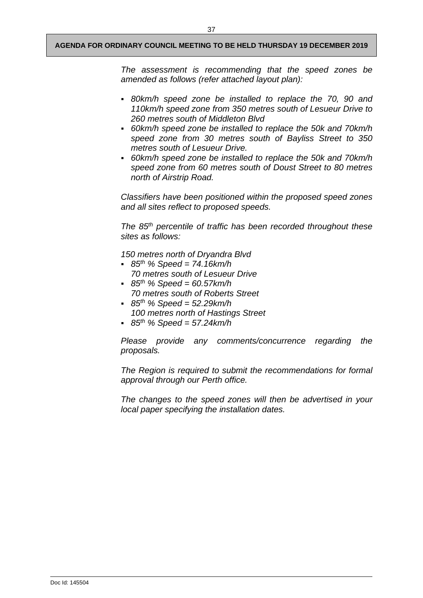*The assessment is recommending that the speed zones be amended as follows (refer attached layout plan):*

- *80km/h speed zone be installed to replace the 70, 90 and 110km/h speed zone from 350 metres south of Lesueur Drive to 260 metres south of Middleton Blvd*
- *60km/h speed zone be installed to replace the 50k and 70km/h speed zone from 30 metres south of Bayliss Street to 350 metres south of Lesueur Drive.*
- *60km/h speed zone be installed to replace the 50k and 70km/h speed zone from 60 metres south of Doust Street to 80 metres north of Airstrip Road.*

*Classifiers have been positioned within the proposed speed zones and all sites reflect to proposed speeds.*

*The 85th percentile of traffic has been recorded throughout these sites as follows:* 

*150 metres north of Dryandra Blvd*

- *85th % Speed = 74.16km/h 70 metres south of Lesueur Drive*
- *85th % Speed = 60.57km/h 70 metres south of Roberts Street*
- *85th % Speed = 52.29km/h 100 metres north of Hastings Street*
- *85th % Speed = 57.24km/h*

*Please provide any comments/concurrence regarding the proposals.*

*The Region is required to submit the recommendations for formal approval through our Perth office.*

*The changes to the speed zones will then be advertised in your local paper specifying the installation dates.*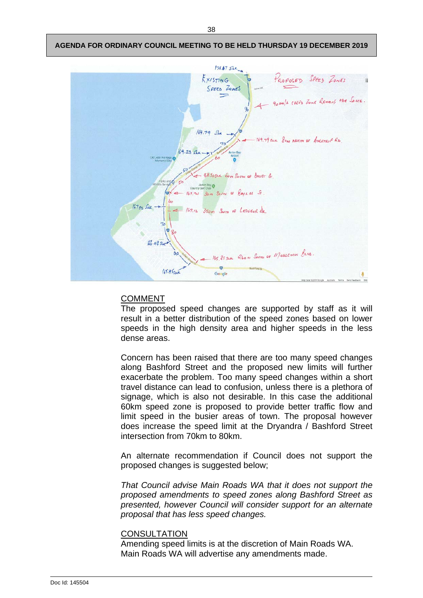

## COMMENT

The proposed speed changes are supported by staff as it will result in a better distribution of the speed zones based on lower speeds in the high density area and higher speeds in the less dense areas.

Concern has been raised that there are too many speed changes along Bashford Street and the proposed new limits will further exacerbate the problem. Too many speed changes within a short travel distance can lead to confusion, unless there is a plethora of signage, which is also not desirable. In this case the additional 60km speed zone is proposed to provide better traffic flow and limit speed in the busier areas of town. The proposal however does increase the speed limit at the Dryandra / Bashford Street intersection from 70km to 80km.

An alternate recommendation if Council does not support the proposed changes is suggested below;

*That Council advise Main Roads WA that it does not support the proposed amendments to speed zones along Bashford Street as presented, however Council will consider support for an alternate proposal that has less speed changes.* 

## **CONSULTATION**

Amending speed limits is at the discretion of Main Roads WA. Main Roads WA will advertise any amendments made.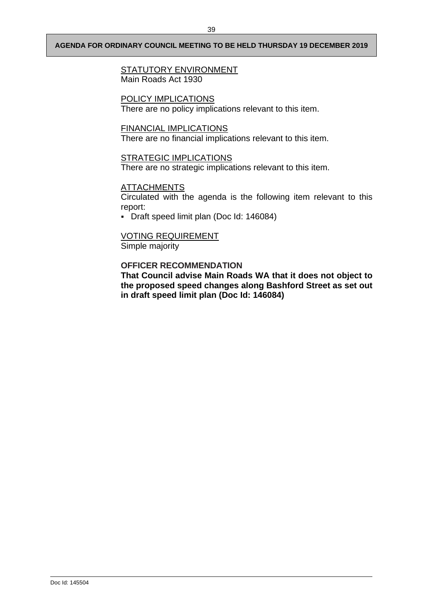## **STATUTORY ENVIRONMENT** Main Roads Act 1930

## POLICY IMPLICATIONS

There are no policy implications relevant to this item.

## FINANCIAL IMPLICATIONS

There are no financial implications relevant to this item.

## STRATEGIC IMPLICATIONS

There are no strategic implications relevant to this item.

## **ATTACHMENTS**

Circulated with the agenda is the following item relevant to this report:

Draft speed limit plan (Doc Id: 146084)

## VOTING REQUIREMENT

Simple majority

## **OFFICER RECOMMENDATION**

**That Council advise Main Roads WA that it does not object to the proposed speed changes along Bashford Street as set out in draft speed limit plan (Doc Id: 146084)**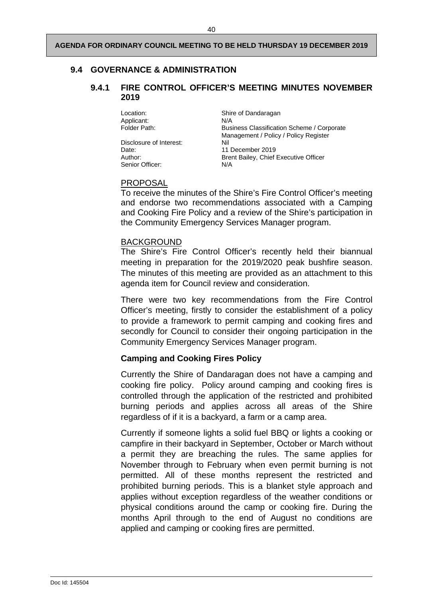## <span id="page-51-1"></span><span id="page-51-0"></span>**9.4 GOVERNANCE & ADMINISTRATION**

## **9.4.1 FIRE CONTROL OFFICER'S MEETING MINUTES NOVEMBER 2019**

Applicant: N/A<br>Folder Path: Busi

Disclosure of Interest: Nil Date: 11 December 2019 Senior Officer: N/A

Location: Shire of Dandaragan Business Classification Scheme / Corporate Management / Policy / Policy Register Author: Brent Bailey, Chief Executive Officer

## PROPOSAL

To receive the minutes of the Shire's Fire Control Officer's meeting and endorse two recommendations associated with a Camping and Cooking Fire Policy and a review of the Shire's participation in the Community Emergency Services Manager program.

## BACKGROUND

The Shire's Fire Control Officer's recently held their biannual meeting in preparation for the 2019/2020 peak bushfire season. The minutes of this meeting are provided as an attachment to this agenda item for Council review and consideration.

There were two key recommendations from the Fire Control Officer's meeting, firstly to consider the establishment of a policy to provide a framework to permit camping and cooking fires and secondly for Council to consider their ongoing participation in the Community Emergency Services Manager program.

## **Camping and Cooking Fires Policy**

Currently the Shire of Dandaragan does not have a camping and cooking fire policy. Policy around camping and cooking fires is controlled through the application of the restricted and prohibited burning periods and applies across all areas of the Shire regardless of if it is a backyard, a farm or a camp area.

Currently if someone lights a solid fuel BBQ or lights a cooking or campfire in their backyard in September, October or March without a permit they are breaching the rules. The same applies for November through to February when even permit burning is not permitted. All of these months represent the restricted and prohibited burning periods. This is a blanket style approach and applies without exception regardless of the weather conditions or physical conditions around the camp or cooking fire. During the months April through to the end of August no conditions are applied and camping or cooking fires are permitted.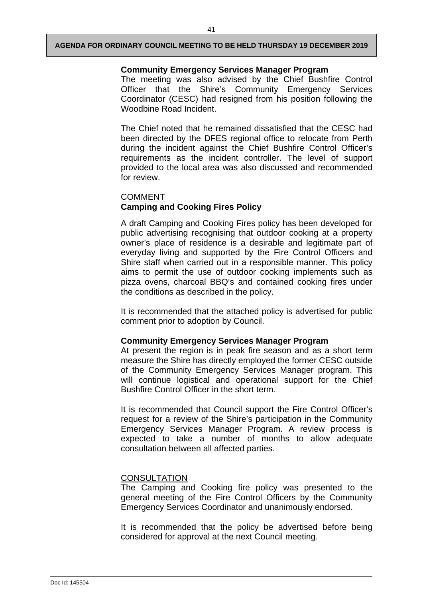## **Community Emergency Services Manager Program**

The meeting was also advised by the Chief Bushfire Control Officer that the Shire's Community Emergency Services Coordinator (CESC) had resigned from his position following the Woodbine Road Incident.

The Chief noted that he remained dissatisfied that the CESC had been directed by the DFES regional office to relocate from Perth during the incident against the Chief Bushfire Control Officer's requirements as the incident controller. The level of support provided to the local area was also discussed and recommended for review.

## COMMENT **Camping and Cooking Fires Policy**

A draft Camping and Cooking Fires policy has been developed for public advertising recognising that outdoor cooking at a property owner's place of residence is a desirable and legitimate part of everyday living and supported by the Fire Control Officers and Shire staff when carried out in a responsible manner. This policy aims to permit the use of outdoor cooking implements such as pizza ovens, charcoal BBQ's and contained cooking fires under the conditions as described in the policy.

It is recommended that the attached policy is advertised for public comment prior to adoption by Council.

## **Community Emergency Services Manager Program**

At present the region is in peak fire season and as a short term measure the Shire has directly employed the former CESC outside of the Community Emergency Services Manager program. This will continue logistical and operational support for the Chief Bushfire Control Officer in the short term.

It is recommended that Council support the Fire Control Officer's request for a review of the Shire's participation in the Community Emergency Services Manager Program. A review process is expected to take a number of months to allow adequate consultation between all affected parties.

## **CONSULTATION**

The Camping and Cooking fire policy was presented to the general meeting of the Fire Control Officers by the Community Emergency Services Coordinator and unanimously endorsed.

It is recommended that the policy be advertised before being considered for approval at the next Council meeting.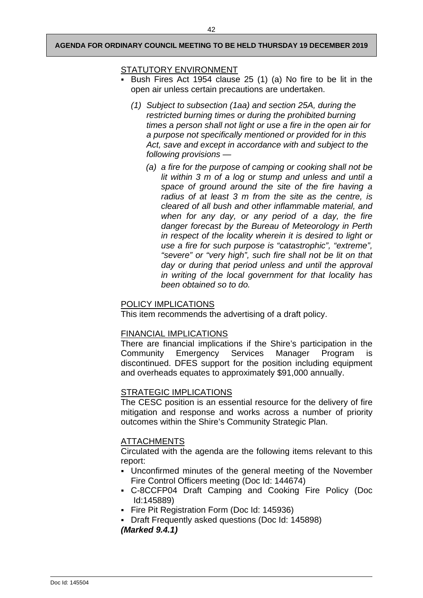## STATUTORY ENVIRONMENT

- Bush Fires Act 1954 clause 25 (1) (a) No fire to be lit in the open air unless certain precautions are undertaken.
	- *(1) Subject to subsection (1aa) and section 25A, during the restricted burning times or during the prohibited burning times a person shall not light or use a fire in the open air for a purpose not specifically mentioned or provided for in this Act, save and except in accordance with and subject to the following provisions —*
		- *(a) a fire for the purpose of camping or cooking shall not be lit within 3 m of a log or stump and unless and until a space of ground around the site of the fire having a radius of at least 3 m from the site as the centre, is cleared of all bush and other inflammable material, and when for any day, or any period of a day, the fire danger forecast by the Bureau of Meteorology in Perth in respect of the locality wherein it is desired to light or use a fire for such purpose is "catastrophic", "extreme", "severe" or "very high", such fire shall not be lit on that day or during that period unless and until the approval in writing of the local government for that locality has been obtained so to do.*

## POLICY IMPLICATIONS

This item recommends the advertising of a draft policy.

## FINANCIAL IMPLICATIONS

There are financial implications if the Shire's participation in the Community Emergency Services Manager Program is discontinued. DFES support for the position including equipment and overheads equates to approximately \$91,000 annually.

## STRATEGIC IMPLICATIONS

The CESC position is an essential resource for the delivery of fire mitigation and response and works across a number of priority outcomes within the Shire's Community Strategic Plan.

## ATTACHMENTS

Circulated with the agenda are the following items relevant to this report:

- Unconfirmed minutes of the general meeting of the November Fire Control Officers meeting (Doc Id: 144674)
- C-8CCFP04 Draft Camping and Cooking Fire Policy (Doc Id:145889)
- Fire Pit Registration Form (Doc Id: 145936)
- Draft Frequently asked questions (Doc Id: 145898) *(Marked 9.4.1)*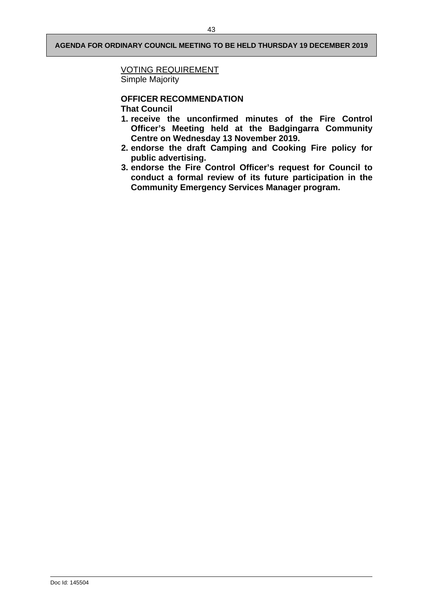## VOTING REQUIREMENT

Simple Majority

# **OFFICER RECOMMENDATION**

**That Council** 

- **1. receive the unconfirmed minutes of the Fire Control Officer's Meeting held at the Badgingarra Community Centre on Wednesday 13 November 2019.**
- **2. endorse the draft Camping and Cooking Fire policy for public advertising.**
- **3. endorse the Fire Control Officer's request for Council to conduct a formal review of its future participation in the Community Emergency Services Manager program.**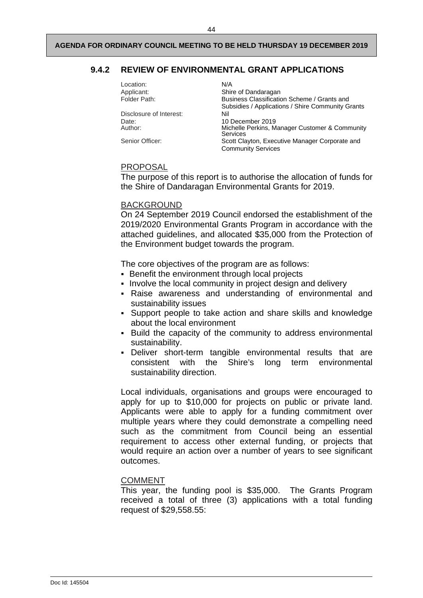## <span id="page-55-0"></span>**9.4.2 REVIEW OF ENVIRONMENTAL GRANT APPLICATIONS**

| N/A                                                                         |
|-----------------------------------------------------------------------------|
| Shire of Dandaragan                                                         |
| Business Classification Scheme / Grants and                                 |
| Subsidies / Applications / Shire Community Grants                           |
| Nil                                                                         |
| 10 December 2019                                                            |
| Michelle Perkins, Manager Customer & Community<br>Services                  |
| Scott Clayton, Executive Manager Corporate and<br><b>Community Services</b> |
|                                                                             |

#### PROPOSAL

The purpose of this report is to authorise the allocation of funds for the Shire of Dandaragan Environmental Grants for 2019.

#### BACKGROUND

On 24 September 2019 Council endorsed the establishment of the 2019/2020 Environmental Grants Program in accordance with the attached guidelines, and allocated \$35,000 from the Protection of the Environment budget towards the program.

The core objectives of the program are as follows:

- **Benefit the environment through local projects**
- Involve the local community in project design and delivery
- Raise awareness and understanding of environmental and sustainability issues
- Support people to take action and share skills and knowledge about the local environment
- Build the capacity of the community to address environmental sustainability.
- Deliver short-term tangible environmental results that are consistent with the Shire's long term environmental sustainability direction.

Local individuals, organisations and groups were encouraged to apply for up to \$10,000 for projects on public or private land. Applicants were able to apply for a funding commitment over multiple years where they could demonstrate a compelling need such as the commitment from Council being an essential requirement to access other external funding, or projects that would require an action over a number of years to see significant outcomes.

#### COMMENT

This year, the funding pool is \$35,000. The Grants Program received a total of three (3) applications with a total funding request of \$29,558.55: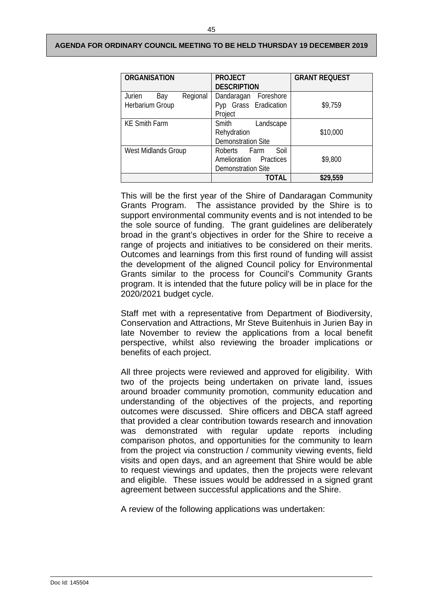| <b>ORGANISATION</b>                          | <b>PROJECT</b><br><b>DESCRIPTION</b>                                        | <b>GRANT REQUEST</b> |
|----------------------------------------------|-----------------------------------------------------------------------------|----------------------|
| Regional<br>Jurien<br>Bay<br>Herbarium Group | Dandaragan<br>Foreshore<br>Pyp Grass Eradication<br>Project                 | \$9,759              |
| <b>KE Smith Farm</b>                         | Smith<br>Landscape<br>Rehydration<br><b>Demonstration Site</b>              | \$10,000             |
| West Midlands Group                          | Soil<br>Roberts Farm<br>Amelioration Practices<br><b>Demonstration Site</b> | \$9,800              |
|                                              | TOTAL                                                                       | \$29,559             |

This will be the first year of the Shire of Dandaragan Community Grants Program. The assistance provided by the Shire is to support environmental community events and is not intended to be the sole source of funding. The grant guidelines are deliberately broad in the grant's objectives in order for the Shire to receive a range of projects and initiatives to be considered on their merits. Outcomes and learnings from this first round of funding will assist the development of the aligned Council policy for Environmental Grants similar to the process for Council's Community Grants program. It is intended that the future policy will be in place for the 2020/2021 budget cycle.

Staff met with a representative from Department of Biodiversity, Conservation and Attractions, Mr Steve Buitenhuis in Jurien Bay in late November to review the applications from a local benefit perspective, whilst also reviewing the broader implications or benefits of each project.

All three projects were reviewed and approved for eligibility. With two of the projects being undertaken on private land, issues around broader community promotion, community education and understanding of the objectives of the projects, and reporting outcomes were discussed. Shire officers and DBCA staff agreed that provided a clear contribution towards research and innovation was demonstrated with regular update reports including comparison photos, and opportunities for the community to learn from the project via construction / community viewing events, field visits and open days, and an agreement that Shire would be able to request viewings and updates, then the projects were relevant and eligible. These issues would be addressed in a signed grant agreement between successful applications and the Shire.

A review of the following applications was undertaken: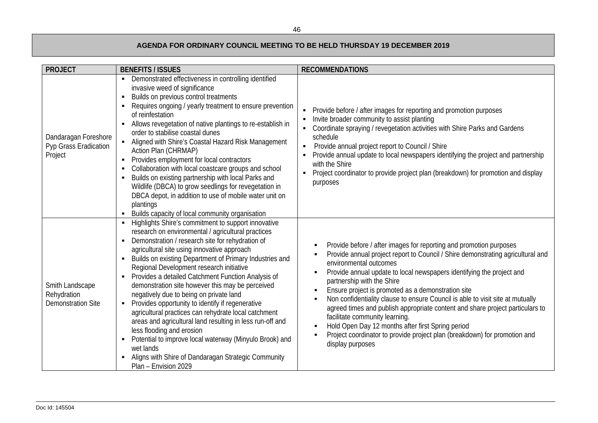| <b>PROJECT</b>                                              | <b>BENEFITS / ISSUES</b>                                                                                                                                                                                                                                                                                                                                                                                                                                                                                                                                                                                                                                                                                                                                                                                                                                                    | <b>RECOMMENDATIONS</b>                                                                                                                                                                                                                                                                                                                                                                                                                                                                                                                                                                                                                                                                                  |
|-------------------------------------------------------------|-----------------------------------------------------------------------------------------------------------------------------------------------------------------------------------------------------------------------------------------------------------------------------------------------------------------------------------------------------------------------------------------------------------------------------------------------------------------------------------------------------------------------------------------------------------------------------------------------------------------------------------------------------------------------------------------------------------------------------------------------------------------------------------------------------------------------------------------------------------------------------|---------------------------------------------------------------------------------------------------------------------------------------------------------------------------------------------------------------------------------------------------------------------------------------------------------------------------------------------------------------------------------------------------------------------------------------------------------------------------------------------------------------------------------------------------------------------------------------------------------------------------------------------------------------------------------------------------------|
| Dandaragan Foreshore<br>Pyp Grass Eradication<br>Project    | Demonstrated effectiveness in controlling identified<br>$\blacksquare$<br>invasive weed of significance<br>Builds on previous control treatments<br>Requires ongoing / yearly treatment to ensure prevention<br>of reinfestation<br>Allows revegetation of native plantings to re-establish in<br>order to stabilise coastal dunes<br>Aligned with Shire's Coastal Hazard Risk Management<br>$\blacksquare$<br>Action Plan (CHRMAP)<br>Provides employment for local contractors<br>$\blacksquare$<br>Collaboration with local coastcare groups and school<br>Builds on existing partnership with local Parks and<br>Wildlife (DBCA) to grow seedlings for revegetation in<br>DBCA depot, in addition to use of mobile water unit on<br>plantings<br>Builds capacity of local community organisation                                                                        | Provide before / after images for reporting and promotion purposes<br>$\blacksquare$<br>Invite broader community to assist planting<br>Coordinate spraying / revegetation activities with Shire Parks and Gardens<br>schedule<br>Provide annual project report to Council / Shire<br>$\blacksquare$<br>Provide annual update to local newspapers identifying the project and partnership<br>with the Shire<br>Project coordinator to provide project plan (breakdown) for promotion and display<br>$\blacksquare$<br>purposes                                                                                                                                                                           |
| Smith Landscape<br>Rehydration<br><b>Demonstration Site</b> | Highlights Shire's commitment to support innovative<br>research on environmental / agricultural practices<br>Demonstration / research site for rehydration of<br>$\blacksquare$<br>agricultural site using innovative approach<br>Builds on existing Department of Primary Industries and<br>$\blacksquare$<br>Regional Development research initiative<br>Provides a detailed Catchment Function Analysis of<br>demonstration site however this may be perceived<br>negatively due to being on private land<br>• Provides opportunity to identify if regenerative<br>agricultural practices can rehydrate local catchment<br>areas and agricultural land resulting in less run-off and<br>less flooding and erosion<br>Potential to improve local waterway (Minyulo Brook) and<br>wet lands<br>Aligns with Shire of Dandaragan Strategic Community<br>Plan - Envision 2029 | Provide before / after images for reporting and promotion purposes<br>Provide annual project report to Council / Shire demonstrating agricultural and<br>environmental outcomes<br>Provide annual update to local newspapers identifying the project and<br>partnership with the Shire<br>Ensure project is promoted as a demonstration site<br>Non confidentiality clause to ensure Council is able to visit site at mutually<br>agreed times and publish appropriate content and share project particulars to<br>facilitate community learning.<br>Hold Open Day 12 months after first Spring period<br>Project coordinator to provide project plan (breakdown) for promotion and<br>display purposes |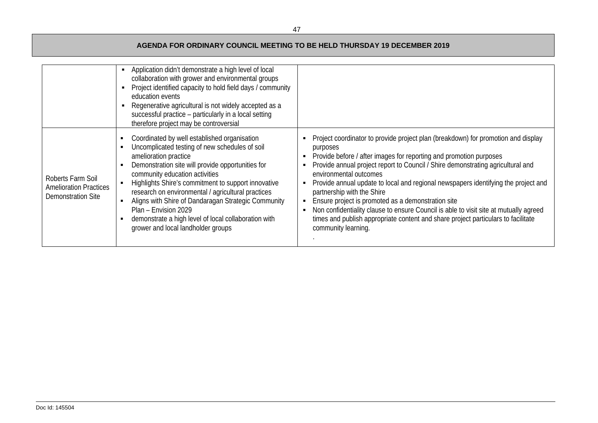|                                                                          | Application didn't demonstrate a high level of local<br>collaboration with grower and environmental groups<br>Project identified capacity to hold field days / community<br>education events<br>Regenerative agricultural is not widely accepted as a<br>successful practice - particularly in a local setting<br>therefore project may be controversial                                                                                                                                                 |                                                                                                                                                                                                                                                                                                                                                                                                                                                                                                                                                                                                                                                                      |
|--------------------------------------------------------------------------|----------------------------------------------------------------------------------------------------------------------------------------------------------------------------------------------------------------------------------------------------------------------------------------------------------------------------------------------------------------------------------------------------------------------------------------------------------------------------------------------------------|----------------------------------------------------------------------------------------------------------------------------------------------------------------------------------------------------------------------------------------------------------------------------------------------------------------------------------------------------------------------------------------------------------------------------------------------------------------------------------------------------------------------------------------------------------------------------------------------------------------------------------------------------------------------|
| Roberts Farm Soil<br><b>Amelioration Practices</b><br>Demonstration Site | Coordinated by well established organisation<br>Uncomplicated testing of new schedules of soil<br>amelioration practice<br>Demonstration site will provide opportunities for<br>community education activities<br>Highlights Shire's commitment to support innovative<br>research on environmental / agricultural practices<br>Aligns with Shire of Dandaragan Strategic Community<br>Plan - Envision 2029<br>demonstrate a high level of local collaboration with<br>grower and local landholder groups | Project coordinator to provide project plan (breakdown) for promotion and display<br>purposes<br>Provide before / after images for reporting and promotion purposes<br>Provide annual project report to Council / Shire demonstrating agricultural and<br>environmental outcomes<br>Provide annual update to local and regional newspapers identifying the project and<br>٠<br>partnership with the Shire<br>Ensure project is promoted as a demonstration site<br>Non confidentiality clause to ensure Council is able to visit site at mutually agreed<br>times and publish appropriate content and share project particulars to facilitate<br>community learning. |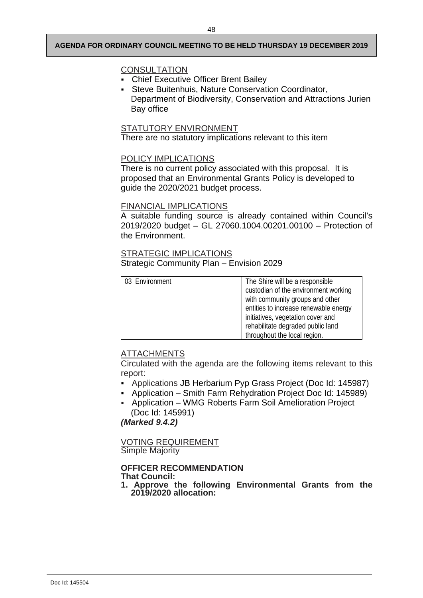## **CONSULTATION**

- Chief Executive Officer Brent Bailey
- Steve Buitenhuis, Nature Conservation Coordinator, Department of Biodiversity, Conservation and Attractions Jurien Bay office

## STATUTORY ENVIRONMENT

There are no statutory implications relevant to this item

#### POLICY IMPLICATIONS

There is no current policy associated with this proposal. It is proposed that an Environmental Grants Policy is developed to guide the 2020/2021 budget process.

## FINANCIAL IMPLICATIONS

A suitable funding source is already contained within Council's 2019/2020 budget – GL 27060.1004.00201.00100 – Protection of the Environment.

## STRATEGIC IMPLICATIONS

Strategic Community Plan – Envision 2029

| 03 Environment | The Shire will be a responsible<br>custodian of the environment working<br>with community groups and other |
|----------------|------------------------------------------------------------------------------------------------------------|
|                | entities to increase renewable energy                                                                      |
|                | initiatives, vegetation cover and                                                                          |
|                | rehabilitate degraded public land                                                                          |
|                | throughout the local region.                                                                               |

## ATTACHMENTS

Circulated with the agenda are the following items relevant to this report:

- Applications JB Herbarium Pyp Grass Project (Doc Id: 145987)
- Application Smith Farm Rehydration Project Doc Id: 145989)
- Application WMG Roberts Farm Soil Amelioration Project (Doc Id: 145991)

*(Marked 9.4.2)*

VOTING REQUIREMENT Simple Majority

# **OFFICER RECOMMENDATION**

**That Council:**

**1. Approve the following Environmental Grants from the 2019/2020 allocation:**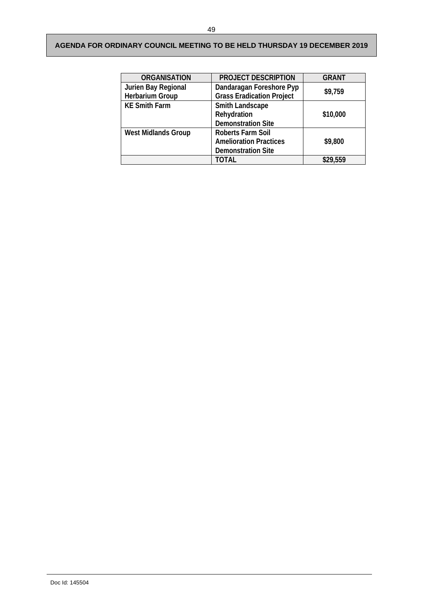<span id="page-60-0"></span>

| <b>ORGANISATION</b>        | <b>PROJECT DESCRIPTION</b>       | <b>GRANT</b> |
|----------------------------|----------------------------------|--------------|
| Jurien Bay Regional        | Dandaragan Foreshore Pyp         | \$9,759      |
| <b>Herbarium Group</b>     | <b>Grass Eradication Project</b> |              |
| <b>KE Smith Farm</b>       | Smith Landscape                  |              |
|                            | Rehydration                      | \$10,000     |
|                            | <b>Demonstration Site</b>        |              |
| <b>West Midlands Group</b> | <b>Roberts Farm Soil</b>         |              |
|                            | <b>Amelioration Practices</b>    | \$9,800      |
|                            | <b>Demonstration Site</b>        |              |
|                            | TOTAL                            | \$29,559     |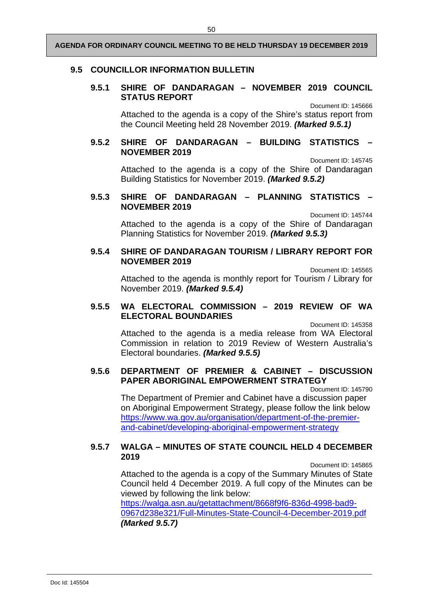## <span id="page-61-0"></span>**9.5 COUNCILLOR INFORMATION BULLETIN**

## **9.5.1 SHIRE OF DANDARAGAN – NOVEMBER 2019 COUNCIL STATUS REPORT**

Document ID: 145666

Attached to the agenda is a copy of the Shire's status report from the Council Meeting held 28 November 2019. *(Marked 9.5.1)*

## <span id="page-61-1"></span>**9.5.2 SHIRE OF DANDARAGAN – BUILDING STATISTICS – NOVEMBER 2019**

Document ID: 145745

Attached to the agenda is a copy of the Shire of Dandaragan Building Statistics for November 2019. *(Marked 9.5.2)*

## <span id="page-61-2"></span>**9.5.3 SHIRE OF DANDARAGAN – PLANNING STATISTICS – NOVEMBER 2019**

Document ID: 145744

Attached to the agenda is a copy of the Shire of Dandaragan Planning Statistics for November 2019. *(Marked 9.5.3)*

## <span id="page-61-3"></span>**9.5.4 SHIRE OF DANDARAGAN TOURISM / LIBRARY REPORT FOR NOVEMBER 2019**

Document ID: 145565

Attached to the agenda is monthly report for Tourism / Library for November 2019. *(Marked 9.5.4)*

## <span id="page-61-4"></span>**9.5.5 WA ELECTORAL COMMISSION – 2019 REVIEW OF WA ELECTORAL BOUNDARIES**

Document ID: 145358

Attached to the agenda is a media release from WA Electoral Commission in relation to 2019 Review of Western Australia's Electoral boundaries. *(Marked 9.5.5)*

## <span id="page-61-5"></span>**9.5.6 DEPARTMENT OF PREMIER & CABINET – DISCUSSION PAPER ABORIGINAL EMPOWERMENT STRATEGY**

Document ID: 145790

The Department of Premier and Cabinet have a discussion paper on Aboriginal Empowerment Strategy, please follow the link below [https://www.wa.gov.au/organisation/department-of-the-premier](https://www.wa.gov.au/organisation/department-of-the-premier-and-cabinet/developing-aboriginal-empowerment-strategy)[and-cabinet/developing-aboriginal-empowerment-strategy](https://www.wa.gov.au/organisation/department-of-the-premier-and-cabinet/developing-aboriginal-empowerment-strategy)

## <span id="page-61-6"></span>**9.5.7 WALGA – MINUTES OF STATE COUNCIL HELD 4 DECEMBER 2019**

Document ID: 145865

Attached to the agenda is a copy of the Summary Minutes of State Council held 4 December 2019. A full copy of the Minutes can be viewed by following the link below:

[https://walga.asn.au/getattachment/8668f9f6-836d-4998-bad9-](https://walga.asn.au/getattachment/8668f9f6-836d-4998-bad9-0967d238e321/Full-Minutes-State-Council-4-December-2019.pdf) [0967d238e321/Full-Minutes-State-Council-4-December-2019.pdf](https://walga.asn.au/getattachment/8668f9f6-836d-4998-bad9-0967d238e321/Full-Minutes-State-Council-4-December-2019.pdf) *(Marked 9.5.7)*